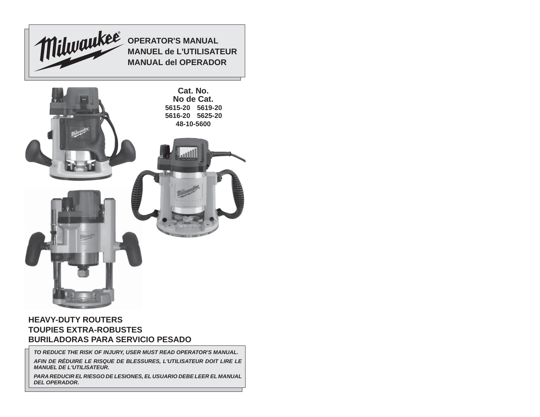

# **HEAVY-DUTY ROUTERSTOUPIES EXTRA-ROBUSTESBURILADORAS PARA SERVICIO PESADO**

*TO REDUCE THE RISK OF INJURY, USER MUST READ OPERATOR'S MANUAL.*

*AFIN DE RÉDUIRE LE RISQUE DE BLESSURES, L'UTILISATEUR DOIT LIRE LE MANUEL DE L'UTILISATEUR.*

*PARA REDUCIR EL RIESGO DE LESIONES, EL USUARIO DEBE LEER EL MANUAL DEL OPERADOR.*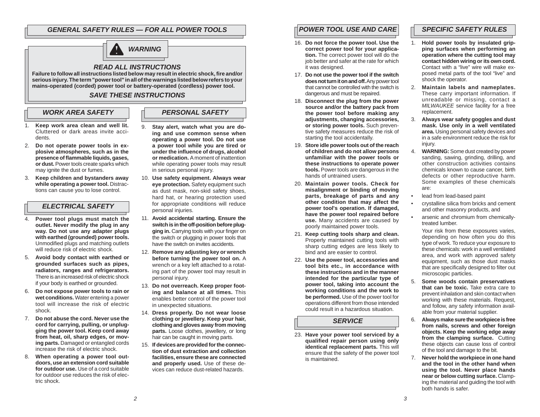# *GENERAL SAFETY RULES — FOR ALL POWER TOOLS*



## *READ ALL INSTRUCTIONS*

 **Failure to follow all instructions listed below may result in electric shock, fi re and/or serious injury. The term "power tool" in all of the warnings listed below refers to your mains-operated (corded) power tool or battery-operated (cordless) power tool.**

# *SAVE THESE INSTRUCTIONS*

# *WORK AREA SAFETY*

- 1. **Keep work area clean and well lit.** Cluttered or dark areas invite accidents.
- 2. **Do not operate power tools in explosive atmospheres, such as in the presence of fl ammable liquids, gases, or dust.** Power tools create sparks which may jonite the dust or fumes.
- 3. **Keep children and bystanders away while operating a power tool.** Distractions can cause you to lose control.

#### *ELECTRICAL SAFETY*

- 4. **Power tool plugs must match the outlet. Never modify the plug in any way. Do not use any adapter plugs with earthed (grounded) power tools.**  Unmodified plugs and matching outlets will reduce risk of electric shock.
- 5. **Avoid body contact with earthed or grounded surfaces such as pipes, radiators, ranges and refrigerators.**  There is an increased risk of electric shock if your body is earthed or grounded.
- 6. **Do not expose power tools to rain or wet conditions.** Water entering a power tool will increase the risk of electric shock.
- 7. **Do not abuse the cord. Never use the cord for carrying, pulling, or unplugging the power tool. Keep cord away from heat, oil, sharp edges, or moving parts.** Damaged or entangled cords increase the risk of electric shock.
- 8. **When operating a power tool outdoors, use an extension cord suitable for outdoor use.** Use of a cord suitable for outdoor use reduces the risk of electric shock.

# *PERSONAL SAFETY*

- 9. **Stay alert, watch what you are doing and use common sense when operating a power tool. Do not use a power tool while you are tired or under the infl uence of drugs, alcohol or medication.** A moment of inattention while operating power tools may result in serious personal injury.
- 10. **Use safety equipment. Always wear eve protection.** Safety equipment such as dust mask, non-skid safety shoes, hard hat, or hearing protection used for appropriate conditions will reduce personal injuries.
- 11. **Avoid accidental starting. Ensure the switch is in the off-position before plug**ging in. Carrying tools with your finger on the switch or plugging in power tools that have the switch on invites accidents.
- 12. **Remove any adjusting key or wrench before turning the power tool on.** A wrench or a key left attached to a rotating part of the power tool may result in personal injury.
- 13. **Do not overreach. Keep proper footing and balance at all times.** This enables better control of the power tool in unexpected situations.
- 14. **Dress properly. Do not wear loose clothing or jewellery. Keep your hair, clothing and gloves away from moving parts.** Loose clothes, jewellery, or long hair can be caught in moving parts.
- 15. **If devices are provided for the connection of dust extraction and collection facilities, ensure these are connected**  and properly used. Use of these devices can reduce dust-related hazards.

# *POWER TOOL USE AND CARE*

- 16. **Do not force the power tool. Use the correct power tool for your application.** The correct power tool will do the job better and safer at the rate for which it was designed.
- 17. **Do not use the power tool if the switch does not turn it on and off.** Any power tool that cannot be controlled with the switch is dangerous and must be repaired.
- 18. **Disconnect the plug from the power source and/or the battery pack from the power tool before making any adjustments, changing accessories, or storing power tools.** Such preventive safety measures reduce the risk of starting the tool accidentally.
- 19. **Store idle power tools out of the reach of children and do not allow persons unfamiliar with the power tools or these instructions to operate power tools.** Power tools are dangerous in the hands of untrained users.
- 20. **Maintain power tools. Check for misalignment or binding of moving parts, breakage of parts and any other condition that may affect the power tool's operation. If damaged, have the power tool repaired before use.** Many accidents are caused by poorly maintained power tools.
- 21. **Keep cutting tools sharp and clean.** Properly maintained cutting tools with sharp cutting edges are less likely to bind and are easier to control.
- 22. **Use the power tool, accessories and tool bits etc., in accordance with these instructions and in the manner intended for the particular type of power tool, taking into account the working conditions and the work to be performed.** Use of the power tool for operations different from those intended could result in a hazardous situation.

# *SERVICE*

23. **Have your power tool serviced by a qualifi ed repair person using only identical replacement parts.** This will ensure that the safety of the power tool is maintained.

# *SPECIFIC SAFETY RULES*

- 1. **Hold power tools by insulated gripping surfaces when performing an operation where the cutting tool may contact hidden wiring or its own cord.**  Contact with a "live" wire will make exposed metal parts of the tool "live" and shock the operator.
- 2. **Maintain labels and nameplates.**  These carry important information. If unreadable or missing, contact a *MILWAUKEE* service facility for a free replacement.
- 3. **Always wear safety goggles and dust mask. Use only in a well ventilated area.** Using personal safety devices and in a safe environment reduce the risk for injury.
- 4. **WARNING:** Some dust created by power sanding, sawing, grinding, drilling, and other construction activities contains chemicals known to cause cancer, birth defects or other reproductive harm. Some examples of these chemicals are:
- lead from lead-based paint
- crystalline silica from bricks and cement and other masonry products, and
- arsenic and chromium from chemicallytreated lumber.

Your risk from these exposures varies. depending on how often you do this type of work. To reduce your exposure to these chemicals: work in a well ventilated area, and work with approved safety equipment, such as those dust masks that are specifically designed to filter out microscopic particles.

- 5. **Some woods contain preservatives that can be toxic.** Take extra care to prevent inhalation and skin contact when working with these materials. Request, and follow, any safety information available from your material supplier.
- 6. **Always make sure the workpiece is free from nails, screws and other foreign objects. Keep the working edge away from the clamping surface.** Cutting these objects can cause loss of control of the tool and damage to the bit.
- 7. **Never hold the workpiece in one hand and the tool in the other hand when using the tool. Never place hands near or below cutting surface.** Clamping the material and guiding the tool with both hands is safer.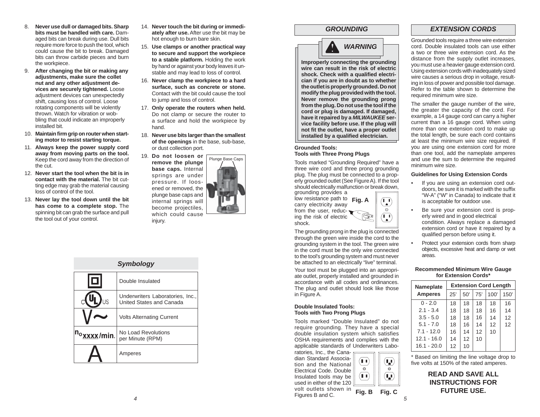- 8. **Never use dull or damaged bits. Sharp bits must be handled with care.** Damaged bits can break during use. Dull bits require more force to push the tool, which could cause the bit to break. Damaged bits can throw carbide pieces and burn the workpiece.
- 9. **After changing the bit or making any adjustments, make sure the collet nut and any other adjustment devices are securely tightened.** Loose adjustment devices can unexpectedly shift, causing loss of control. Loose rotating components will be violently thrown. Watch for vibration or wobbling that could indicate an improperly installed bit.
- 10. Maintain firm grip on router when start**ing motor to resist starting torque.**
- 11. **Always keep the power supply cord away from moving parts on the tool.**  Keep the cord away from the direction of the cut.
- 12. **Never start the tool when the bit is in contact with the material.** The bit cutting edge may grab the material causing loss of control of the tool.
- 13. **Never lay the tool down until the bit has come to a complete stop.** The spinning bit can grab the surface and pull the tool out of your control.



- 15. **Use clamps or another practical way to secure and support the workpiece to a stable platform.** Holding the work by hand or against your body leaves it unstable and may lead to loss of control.
- 16. **Never clamp the workpiece to a hard surface, such as concrete or stone.**  Contact with the bit could cause the tool to jump and loss of control.
- 17. **Only operate the routers when held.** Do not clamp or secure the router to a surface and hold the workpiece by hand.
- 18. **Never use bits larger than the smallest of the openings** in the base, sub-base, or dust collection port.



| <b>Symbology</b>        |                                                              |  |  |  |  |  |
|-------------------------|--------------------------------------------------------------|--|--|--|--|--|
| O.                      | Double Insulated                                             |  |  |  |  |  |
| JS                      | Underwriters Laboratories, Inc.,<br>United States and Canada |  |  |  |  |  |
|                         | <b>Volts Alternating Current</b>                             |  |  |  |  |  |
| <sup>n</sup> oxxxx/min. | No Load Revolutions<br>per Minute (RPM)                      |  |  |  |  |  |
|                         | Amperes                                                      |  |  |  |  |  |

# *GROUNDING*

# *WARNING*

**Improperly connecting the grounding wire can result in the risk of electric** shock. Check with a qualified electri**cian if you are in doubt as to whether the outlet is properly grounded. Do not modify the plug provided with the tool. Never remove the grounding prong from the plug. Do not use the tool if the cord or plug is damaged. If damaged, have it repaired by a** *MILWAUKEE* **service facility before use. If the plug will not fi t the outlet, have a proper outlet installed by a qualifi ed electrician.**

#### **Grounded Tools:Tools with Three Prong Plugs**

Tools marked "Grounding Required" have a three wire cord and three prong grounding plug. The plug must be connected to a prop-<br>erly grounded outlet (See Figure A). If the tool should electrically malfunction or break down. grounding provides a

> $\left(\begin{matrix} \bullet & \bullet \\ \bullet & \bullet \end{matrix}\right)$  $\ominus$  $\left(\begin{matrix} \bullet \\ \bullet \end{matrix}\right)$

low resistance path to **Fig. A** carry electricity away from the user, reducing the risk of electric shock.

The grounding prong in the plug is connected through the green wire inside the cord to the grounding system in the tool. The green wire in the cord must be the only wire connected to the tool's grounding system and must never be attached to an electrically "live" terminal. Your tool must be plugged into an appropriate outlet, properly installed and grounded in accordance with all codes and ordinances. The plug and outlet should look like those in Figure A.

#### **Double Insulated Tools:Tools with Two Prong Plugs**

Tools marked "Double Insulated" do not require grounding. They have a special double insulation system which satisfies OSHA requirements and complies with the applicable standards of Underwriters Labo-

ratories, Inc., the Canadian Standard Association and the National Electrical Code. Double Insulated tools may be used in either of the 120 volt outlets shown in

#### *5* **Fig. B Fig. C** Figures B and C.

 $(\blacksquare\blacktriangleright)$ 

 $\Theta$ 

 $\left( \blacksquare$ 

# *EXTENSION CORDS*

Grounded tools require a three wire extension cord. Double insulated tools can use either a two or three wire extension cord. As the distance from the supply outlet increases, you must use a heavier gauge extension cord. Using extension cords with inadequately sized wire causes a serious drop in voltage, resulting in loss of power and possible tool damage. Refer to the table shown to determine the required minimum wire size.

The smaller the gauge number of the wire, the greater the capacity of the cord. For example, a 14 gauge cord can carry a higher current than a 16 gauge cord. When using more than one extension cord to make up the total length, be sure each cord contains at least the minimum wire size required. If you are using one extension cord for more than one tool, add the nameplate amperes and use the sum to determine the required minimum wire size.

#### **Guidelines for Using Extension Cords**

- If you are using an extension cord outdoors, be sure it is marked with the suffi<sup>x</sup> "W-A" ("W" in Canada) to indicate that it is acceptable for outdoor use.
- Be sure your extension cord is properly wired and in good electrical condition. Always replace a damaged extension cord or have it repaired by a qualified person before using it.
- Protect your extension cords from sharp objects, excessive heat and damp or wet areas.

#### **Recommended Minimum Wire Gauge for Extension Cords\***

| <b>Nameplate</b> | <b>Extension Cord Length</b> |     |     |      |      |  |  |
|------------------|------------------------------|-----|-----|------|------|--|--|
| <b>Amperes</b>   | 25'                          | 50' | 75' | 100' | 150' |  |  |
| $0 - 2.0$        | 18                           | 18  | 18  | 18   | 16   |  |  |
| $2.1 - 3.4$      | 18                           | 18  | 18  | 16   | 14   |  |  |
| $3.5 - 5.0$      | 18                           | 18  | 16  | 14   | 12   |  |  |
| $5.1 - 7.0$      | 18                           | 16  | 14  | 12   | 12   |  |  |
| $7.1 - 12.0$     | 16                           | 14  | 12  | 10   |      |  |  |
| $12.1 - 16.0$    | 14                           | 12  | 10  |      |      |  |  |
| $16.1 - 20.0$    | 12                           | 10  |     |      |      |  |  |

\* Based on limiting the line voltage drop to five volts at 150% of the rated amperes.

# **READ AND SAVE ALL INSTRUCTIONS FOR FUTURE USE.**

 $\begin{pmatrix} \bullet \end{pmatrix}$ 

 $\Theta$  $\left( \begin{matrix} \blacksquare \ \blacksquare \end{matrix} \right)$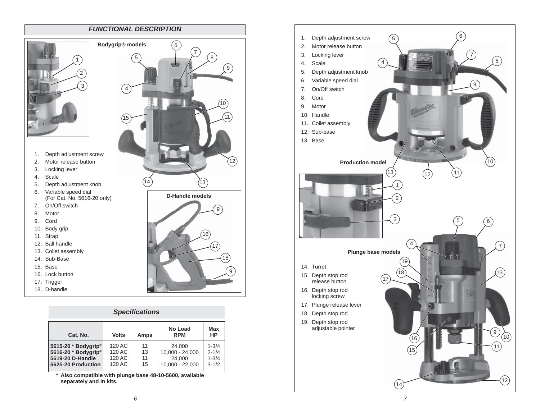# 2  $\left(3\right)$ 1

- 1. Depth adjustment screw
- 2. Motor release button
- 3. Locking lever
- 4. Scale
- 5. Depth adjustment knob
- 6. Variable speed dial (For Cat. No. 5616-20 only)
- 7. On/Off switch
- 8. Motor
- 9. Cord
- 10. Body grip
- 11. Strap
- 12. Ball handle
- 13. Collet assembly
- 14. Sub-Base
- 15. Base
- 16. Lock button
- 17. Trigger
- 18. D-handle

# *Specifi cations*

| Cat. No.                        | <b>Volts</b> | Amps | No Load<br><b>RPM</b> | Max<br>HP |
|---------------------------------|--------------|------|-----------------------|-----------|
| 5615-20 * Bodygrip <sup>®</sup> | 120 AC       | 11   | 24.000                | $1 - 3/4$ |
| 5616-20 * Bodygrip <sup>®</sup> | 120 AC       | 13   | 10,000 - 24,000       | $2 - 1/4$ |
| 5619-20 D-Handle                | 120 AC       | 11   | 24.000                | $1 - 3/4$ |
| 5625-20 Production              | 120 AC       | 15   | 10.000 - 22.000       | $3 - 1/2$ |

 **\* Also compatible with plunge base 48-10-5600, available separately and in kits.**



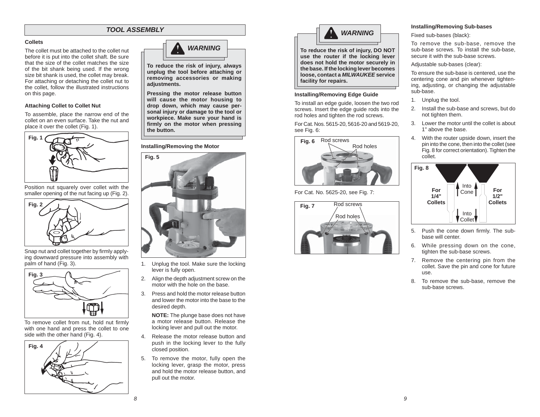# *TOOL ASSEMBLY*

#### **Collets**

The collet must be attached to the collet nut before it is put into the collet shaft. Be sure that the size of the collet matches the size of the bit shank being used. If the wrong size bit shank is used, the collet may break. For attaching or detaching the collet nut to the collet, follow the illustrated instructions on this page.

#### **Attaching Collet to Collet Nut**

To assemble, place the narrow end of the collet on an even surface. Take the nut and place it over the collet (Fig. 1).



Position nut squarely over collet with the smaller opening of the nut facing up (Fig. 2).



Snap nut and collet together by firmly applying downward pressure into assembly with palm of hand (Fig. 3).



To remove collet from nut, hold nut firmly with one hand and press the collet to one side with the other hand (Fig. 4).





**To reduce the risk of injury, always unplug the tool before attaching or removing accessories or making adjustments.** 

**Pressing the motor release button will cause the motor housing to drop down, which may cause personal injury or damage to the tool or workpiece. Make sure your hand is**  firmly on the motor when pressing **the button.**

#### **Installing/Removing the Motor**



- 1. Unplug the tool. Make sure the locking lever is fully open.
- 2. Align the depth adjustment screw on the motor with the hole on the base.
- 3. Press and hold the motor release button and lower the motor into the base to the desired depth.

**NOTE:** The plunge base does not have a motor release button. Release the locking lever and pull out the motor.

- 4. Release the motor release button and push in the locking lever to the fully closed position.
- 5. To remove the motor, fully open the locking lever, grasp the motor, press and hold the motor release button, and pull out the motor.



**To reduce the risk of injury, DO NOT use the router if the locking lever does not hold the motor securely in the base. If the locking lever becomes loose, contact a** *MILWAUKEE* **service facility for repairs.**

#### **Installing/Removing Edge Guide**

To install an edge guide, loosen the two rod screws. Insert the edge guide rods into the rod holes and tighten the rod screws.

For Cat. Nos. 5615-20, 5616-20 and 5619-20, see Fig. 6:



For Cat. No. 5625-20, see Fig. 7:



#### **Installing/Removing Sub-bases**

Fixed sub-bases (black):

To remove the sub-base, remove the sub-base screws. To install the sub-base, secure it with the sub-base screws.

Adjustable sub-bases (clear):

To ensure the sub-base is centered, use the centering cone and pin whenever tightening, adjusting, or changing the adjustable sub-base.

- 1. Unplug the tool.
- 2. Install the sub-base and screws, but do not tighten them.
- 3. Lower the motor until the collet is about 1" above the base.
- 4. With the router upside down, insert the pin into the cone, then into the collet (see Fig. 8 for correct orientation). Tighten the collet.



- 5. Push the cone down firmly. The subbase will center.
- 6. While pressing down on the cone, tighten the sub-base screws.
- 7. Remove the centering pin from the collet. Save the pin and cone for future use.
- 8. To remove the sub-base, remove the sub-base screws.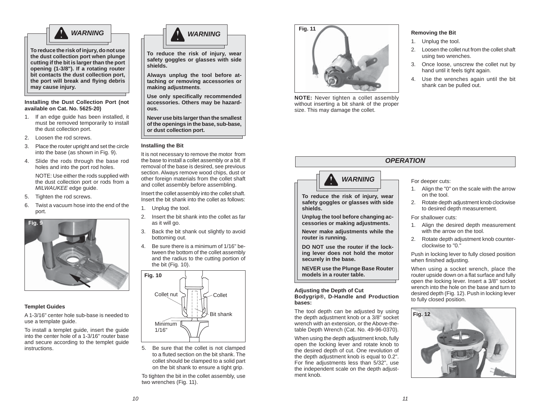

**To reduce the risk of injury, do not use the dust collection port when plunge cutting if the bit is larger than the port opening (1-3/8"). If a rotating router bit contacts the dust collection port, the port will break and fl ying debris may cause injury.** 

**Installing the Dust Collection Port (not available on Cat. No. 5625-20)**

- 1. If an edge guide has been installed, it must be removed temporarily to install the dust collection port.
- 2. Loosen the rod screws.
- 3. Place the router upright and set the circle into the base (as shown in Fig. 9).
- 4. Slide the rods through the base rod holes and into the port rod holes.

 NOTE: Use either the rods supplied with the dust collection port or rods from a *MILWAUKEE* edge guide.

- 5. Tighten the rod screws.
- 6. Twist a vacuum hose into the end of the port.



#### **Templet Guides**

A 1-3/16" center hole sub-base is needed to use a template guide.

To install a templet guide, insert the guide into the center hole of a 1-3/16" router base and secure according to the templet guide instructions.



**To reduce the risk of injury, wear safety goggles or glasses with side shields.**

**Always unplug the tool before attaching or removing accessories or making adjustments**.

Use only specifically recommended **accessories. Others may be hazardous.**

**Never use bits larger than the smallest of the openings in the base, sub-base, or dust collection port.**

#### **Installing the Bit**

It is not necessary to remove the motor from the base to install a collet assembly or a bit. If removal of the base is desired, see previous section. Always remove wood chips, dust or other foreign materials from the collet shaft and collet assembly before assembling.

Insert the collet assembly into the collet shaft. Insert the bit shank into the collet as follows:

- 1. Unplug the tool.
- 2. Insert the bit shank into the collet as far as it will go.
- 3. Back the bit shank out slightly to avoid bottoming out.
- 4. Be sure there is a minimum of 1/16" between the bottom of the collet assembly and the radius to the cutting portion of the bit (Fig. 10).



5. Be sure that the collet is not clamped to a fluted section on the bit shank. The collet should be clamped to a solid part on the bit shank to ensure a tight grip.

To tighten the bit in the collet assembly, use two wrenches (Fig. 11).



**NOTE:** Never tighten a collet assembly without inserting a bit shank of the proper size. This may damage the collet.

#### **Removing the Bit**

- 1. Unplug the tool.
- 2. Loosen the collet nut from the collet shaft using two wrenches.
- 3. Once loose, unscrew the collet nut by hand until it feels tight again.
- 4. Use the wrenches again until the bit shank can be pulled out.

# *WARNING***To reduce the risk of injury, wear safety goggles or glasses with side**

**shields.** 

**Unplug the tool before changing accessories or making adjustments.** 

**Never make adjustments while the router is running.**

**DO NOT use the router if the locking lever does not hold the motor securely in the base.**

**NEVER use the Plunge Base Router models in a router table.** 

#### **Adjusting the Depth of Cut Bodygrip®, D-Handle and Production bases:**

The tool depth can be adjusted by using the depth adjustment knob or a 3/8" socket wrench with an extension, or the Above-thetable Depth Wrench (Cat. No. 49-96-0370).

When using the depth adjustment knob, fully open the locking lever and rotate knob to the desired depth of cut. One revolution of the depth adjustment knob is equal to 0.2". For fine adjustments less than 5/32", use the independent scale on the depth adjustment knob.

# For deeper cuts:

*OPERATION*

- 1. Align the "0" on the scale with the arrow on the tool.
- 2. Rotate depth adjustment knob clockwise to desired depth measurement.

For shallower cuts:

- 1. Align the desired depth measurement with the arrow on the tool.
- 2. Rotate depth adjustment knob counterclockwise to "0."

Push in locking lever to fully closed position when finished adjusting.

When using a socket wrench, place the router upside down on a flat surface and fully open the locking lever. Insert a 3/8" socket wrench into the hole on the base and turn to desired depth (Fig. 12). Push in locking lever to fully closed position.

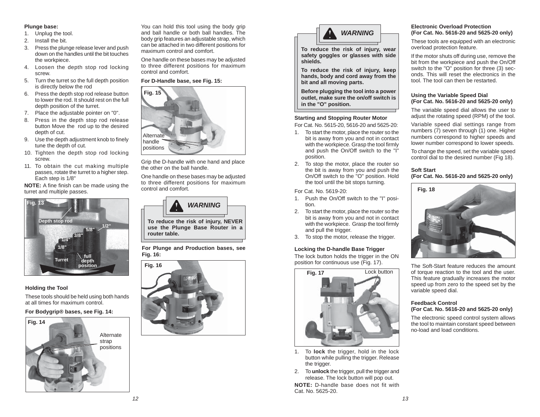#### **Plunge base:**

- 1. Unplug the tool.
- 2. Install the bit.
- 3. Press the plunge release lever and push down on the handles until the bit touches the workpiece.
- 4. Loosen the depth stop rod locking screw.
- 5. Turn the turret so the full depth position is directly below the rod
- 6. Press the depth stop rod release button to lower the rod. It should rest on the full depth position of the turret.
- 7. Place the adjustable pointer on "0".
- 8. Press in the depth stop rod release button Move the rod up to the desired depth of cut.
- 9. Use the depth adjustment knob to finely tune the depth of cut.
- 10. Tighten the depth stop rod locking screw.
- 11. To obtain the cut making multiple passes, rotate the turret to a higher step. Each step is 1/8"

**NOTE:** A fine finish can be made using the turret and multiple passes.



**Holding the Tool**

These tools should be held using both hands at all times for maximum control.

# **For Bodygrip® bases, see Fig. 14:**



You can hold this tool using the body grip and ball handle or both ball handles. The body grip features an adjustable strap, which can be attached in two different positions for maximum control and comfort.

One handle on these bases may be adjusted to three different positions for maximum control and comfort.

## **For D-Handle base, see Fig. 15:**



Grip the D-handle with one hand and place the other on the ball handle.

One handle on these bases may be adjusted to three different positions for maximum control and comfort.



**To reduce the risk of injury, NEVER use the Plunge Base Router in a router table.** 

**For Plunge and Production bases, see Fig. 16:**





**To reduce the risk of injury, wear safety goggles or glasses with side shields.**

**To reduce the risk of injury, keep hands, body and cord away from the bit and all moving parts.**

**Before plugging the tool into a power outlet, make sure the on/off switch is in the "O" position.**

#### **Starting and Stopping Router Motor**

For Cat. No. 5615-20, 5616-20 and 5625-20:

- 1. To start the motor, place the router so the bit is away from you and not in contact with the workpiece. Grasp the tool firmly and push the On/Off switch to the "I" position.
- 2. To stop the motor, place the router so the bit is away from you and push the On/Off switch to the "O" position. Hold the tool until the bit stops turning.

For Cat. No. 5619-20:

- 1. Push the On/Off switch to the "I" position.
- 2. To start the motor, place the router so the bit is away from you and not in contact with the workpiece. Grasp the tool firmly and pull the trigger.
- 3. To stop the motor, release the trigger.

#### **Locking the D-handle Base Trigger**

The lock button holds the trigger in the ON position for continuous use (Fig. 17).



- 1. To **lock** the trigger, hold in the lock button while pulling the trigger. Release the trigger.
- 2. To **unlock** the trigger, pull the trigger and release. The lock button will pop out.

**NOTE:** D-handle base does not fit with Cat. No. 5625-20.

#### **Electronic Overload Protection(For Cat. No. 5616-20 and 5625-20 only)**

These tools are equipped with an electronic overload protection feature.

If the motor shuts off during use, remove the bit from the workpiece and push the On/Off switch to the "O" position for three (3) seconds. This will reset the electronics in the tool. The tool can then be restarted.

#### **Using the Variable Speed Dial (For Cat. No. 5616-20 and 5625-20 only)**

The variable speed dial allows the user to adjust the rotating speed (RPM) of the tool.

Variable speed dial settings range from numbers (7) seven through (1) one. Higher numbers correspond to higher speeds and lower number correspond to lower speeds.

To change the speed, set the variable speed control dial to the desired number (Fig 18).

#### **Soft Start (For Cat. No. 5616-20 and 5625-20 only)**



The Soft-Start feature reduces the amount of torque reaction to the tool and the user. This feature gradually increases the motor speed up from zero to the speed set by the variable speed dial.

#### **Feedback Control (For Cat. No. 5616-20 and 5625-20 only)**

The electronic speed control system allows the tool to maintain constant speed between no-load and load conditions.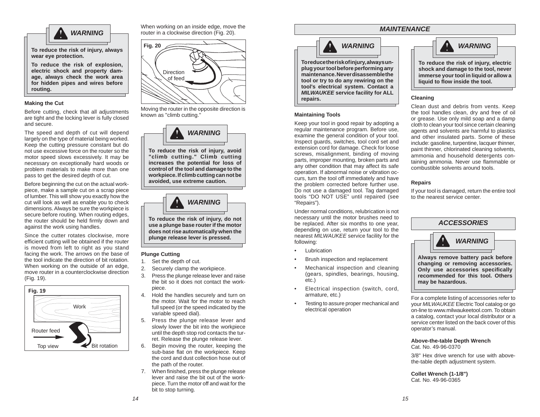

**To reduce the risk of injury, always wear eye protection.**

**To reduce the risk of explosion, electric shock and property damage, always check the work area for hidden pipes and wires before routing.**

#### **Making the Cut**

Before cutting, check that all adjustments are tight and the locking lever is fully closed and secure.

The speed and depth of cut will depend largely on the type of material being worked. Keep the cutting pressure constant but do not use excessive force on the router so the motor speed slows excessively. It may be necessary on exceptionally hard woods or problem materials to make more than one pass to get the desired depth of cut.

Before beginning the cut on the actual workpiece, make a sample cut on a scrap piece of lumber. This will show you exactly how the cut will look as well as enable you to check dimensions. Always be sure the workpiece is secure before routing. When routing edges, the router should be held firmly down and against the work using handles.

Since the cutter rotates clockwise, more efficient cutting will be obtained if the router is moved from left to right as you stand facing the work. The arrows on the base of the tool indicate the direction of bit rotation. When working on the outside of an edge, move router in a counterclockwise direction (Fig. 19).



When working on an inside edge, move the router in a clockwise direction (Fig. 20).



Moving the router in the opposite direction is known as "climb cutting."



**To reduce the risk of injury, avoid "climb cutting." Climb cutting increases the potential for loss of control of the tool and damage to the workpiece. If climb cutting can not be avoided, use extreme caution.**



**To reduce the risk of injury, do not use a plunge base router if the motor does not rise automatically when the plunge release lever is pressed.** 

#### **Plunge Cutting**

- 1. Set the depth of cut.
- 2. Securely clamp the workpiece.
- 3. Press the plunge release lever and raise the bit so it does not contact the workpiece.
- 4. Hold the handles securely and turn on the motor. Wait for the motor to reach full speed (or the speed indicated by the variable speed dial).
- 5. Press the plunge release lever and slowly lower the bit into the workpiece until the depth stop rod contacts the turret. Release the plunge release lever.
- 6. Begin moving the router, keeping the sub-base flat on the workpiece. Keep the cord and dust collection hose out of the path of the router.
- 7. When finished, press the plunge release lever and raise the bit out of the workpiece. Turn the motor off and wait for the bit to stop turning.



**To reduce the risk of injury, always unplug your tool before performing any maintenance. Never disassemble the tool or try to do any rewiring on the tool's electrical system. Contact a** *MILWAUKEE* **service facility for ALL repairs.**

#### **Maintaining Tools**

Keep your tool in good repair by adopting a regular maintenance program. Before use, examine the general condition of your tool. Inspect guards, switches, tool cord set and extension cord for damage. Check for loose screws, misalignment, binding of moving parts, improper mounting, broken parts and any other condition that may affect its safe operation. If abnormal noise or vibration occurs, turn the tool off immediately and have the problem corrected before further use. Do not use a damaged tool. Tag damaged tools "DO NOT USE" until repaired (see "Repairs").

Under normal conditions, relubrication is not necessary until the motor brushes need to be replaced. After six months to one year, depending on use, return your tool to the nearest *MILWAUKEE* service facility for the following:

- **Lubrication**
- Brush inspection and replacement
- Mechanical inspection and cleaning (gears, spindles, bearings, housing, etc.)
- Electrical inspection (switch, cord, armature, etc.)
- Testing to assure proper mechanical and electrical operation





**To reduce the risk of injury, electric shock and damage to the tool, never immerse your tool in liquid or allow a liquid to fl ow inside the tool.**

#### **Cleaning**

Clean dust and debris from vents. Keep the tool handles clean, dry and free of oil or grease. Use only mild soap and a damp cloth to clean your tool since certain cleaning agents and solvents are harmful to plastics and other insulated parts. Some of these include: gasoline, turpentine, lacquer thinner, paint thinner, chlorinated cleaning solvents, ammonia and household detergents containing ammonia. Never use flammable or combustible solvents around tools.

#### **Repairs**

If your tool is damaged, return the entire tool to the nearest service center.

*ACCESSORIES*



For a complete listing of accessories refer to your *MILWAUKEE* Electric Tool catalog or go on-line to www.milwaukeetool.com. To obtain a catalog, contact your local distributor or a service center listed on the back cover of this operator's manual.

#### **Above-the-table Depth Wrench** Cat. No. 49-96-0370

3/8" Hex drive wrench for use with abovethe-table depth adjustment system.

**Collet Wrench (1-1/8")** Cat. No. 49-96-0365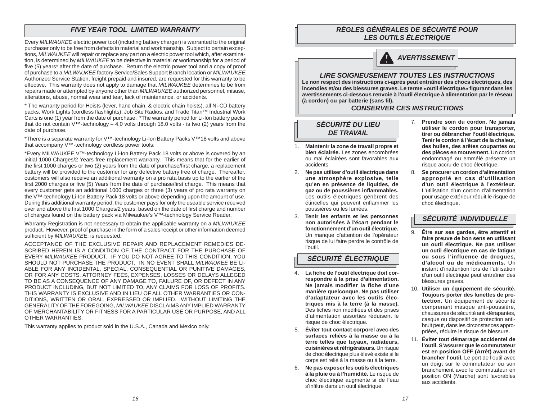# *FIVE YEAR TOOL LIMITED WARRANTY*

Every *MILWAUKEE* electric power tool (including battery charger) is warranted to the original purchaser only to be free from defects in material and workmanship. Subject to certain exceptions, *MILWAUKEE* will repair or replace any part on a electric power tool which, after examination, is determined by *MILWAUKEE* to be defective in material or workmanship for a period of five (5) years\* after the date of purchase. Return the electric power tool and a copy of proof of purchase to a *MILWAUKEE* factory Service/Sales Support Branch location or *MILWAUKEE*  Authorized Service Station, freight prepaid and insured, are requested for this warranty to be effective. This warranty does not apply to damage that *MILWAUKEE* determines to be from repairs made or attempted by anyone other than *MILWAUKEE* authorized personnel, misuse, alterations, abuse, normal wear and tear, lack of maintenance, or accidents.

\* The warranty period for Hoists (lever, hand chain, & electric chain hoists), all Ni-CD battery packs, Work Lights (cordless flashlights), Job Site Radios, and Trade Titan™ Industrial Work Carts is one (1) year from the date of purchase. \*The warranty period for Li-Ion battery packs that do not contain V™-technology – 4.0 volts through 18.0 volts - is two (2) years from the date of purchase.

\*There is a separate warranty for V™-technology Li-Ion Battery Packs V™18 volts and above that accompany V™-technology cordless power tools:

\*Every MILWAUKEE V™-technology Li-Ion Battery Pack 18 volts or above is covered by an initial 1000 Charges/2 Years free replacement warranty. This means that for the earlier of the first 1000 charges or two (2) years from the date of purchase/first charge, a replacement battery will be provided to the customer for any defective battery free of charge. Thereafter, customers will also receive an additional warranty on a pro rata basis up to the earlier of the first 2000 charges or five (5) Years from the date of purchase/first charge. This means that every customer gets an additional 1000 charges or three (3) years of pro rata warranty on the V™-technology Li-Ion Battery Pack 18 volts or above depending upon the amount of use. During this additional warranty period, the customer pays for only the useable service received over and above the first 1000 Charges/2 years, based on the date of first charge and number of charges found on the battery pack via Milwaukee's V™-technology Service Reader.

Warranty Registration is not necessary to obtain the applicable warranty on a *MILWAUKEE* product. However, proof of purchase in the form of a sales receipt or other information deemed sufficient by *MILWAUKEE*, is requested.

ACCEPTANCE OF THE EXCLUSIVE REPAIR AND REPLACEMENT REMEDIES DE-SCRIBED HEREIN IS A CONDITION OF THE CONTRACT FOR THE PURCHASE OF EVERY *MILWAUKEE* PRODUCT. IF YOU DO NOT AGREE TO THIS CONDITION, YOU SHOULD NOT PURCHASE THE PRODUCT. IN NO EVENT SHALL *MILWAUKEE* BE LI-ABLE FOR ANY INCIDENTAL, SPECIAL, CONSEQUENTIAL OR PUNITIVE DAMAGES, OR FOR ANY COSTS, ATTORNEY FEES, EXPENSES, LOSSES OR DELAYS ALLEGED TO BE AS A CONSEQUENCE OF ANY DAMAGE TO, FAILURE OF, OR DEFECT IN ANY PRODUCT INCLUDING, BUT NOT LIMITED TO, ANY CLAIMS FOR LOSS OF PROFITS. THIS WARRANTY IS EXCLUSIVE AND IN LIEU OF ALL OTHER WARRANTIES OR CON-DITIONS, WRITTEN OR ORAL, EXPRESSED OR IMPLIED. WITHOUT LIMITING THE GENERALITY OF THE FOREGOING, *MILWAUKEE* DISCLAIMS ANY IMPLIED WARRANTY OF MERCHANTABILITY OR FITNESS FOR A PARTICULAR USE OR PURPOSE, AND ALL OTHER WARRANTIES.

This warranty applies to product sold in the U.S.A., Canada and Mexico only.

# *RÈGLES GÉNÉRALES DE SÉCURITÉ POUR LES OUTILS ÉLECTRIQUE*



#### *LIRE SOIGNEUSEMENT TOUTES LES INSTRUCTIONS*

**Le non respect des instructions ci-après peut entraîner des chocs électriques, des incendies et/ou des blessures graves. Le terme «outil électrique» fi gurant dans les avertissements ci-dessous renvoie à l'outil électrique à alimentation par le réseau (à cordon) ou par batterie (sans fi l).**

# *CONSERVER CES INSTRUCTIONS*

# *SÉCURITÉ DU LIEU DE TRAVAIL*

- 1. **Maintenir la zone de travail propre et bien éclairée.** Les zones encombrées ou mal éclairées sont favorables aux accidents.
- 2. **Ne pas utiliser d'outil électrique dans une atmosphère explosive, telle qu'en en présence de liquides, de gaz ou de poussières infl ammables.** Les outils électriques génèrent des étincelles qui peuvent enflammer les poussières ou les fumées.
- 3. **Tenir les enfants et les personnes non autorisées à l'écart pendant le fonctionnement d'un outil électrique.** Un manque d'attention de l'opérateur risque de lui faire perdre le contrôle de l'outil.

# *SÉCURITÉ ÉLECTRIQUE*

- 4. **La fi che de l'outil électrique doit correspondre à la prise d'alimentation. Ne jamais modifier la fiche d'une manière quelconque. Ne pas utiliser d'adaptateur avec les outils électriques mis à la terre (à la masse).**  Des fiches non modifiées et des prises d'alimentation assorties réduisent le risque de choc électrique.
- 5. **Éviter tout contact corporel avec des surfaces reliées à la masse ou à la terre telles que tuyaux, radiateurs, cuisinières et réfrigérateurs.** Un risque de choc électrique plus élevé existe si le corps est relié à la masse ou à la terre.
- 6. **Ne pas exposer les outils électriques à la pluie ou à l'humidité.** Le risque de choc électrique augmente si de l'eau s'infiltre dans un outil électrique.
- 7. **Prendre soin du cordon. Ne jamais utiliser le cordon pour transporter, tirer ou débrancher l'outil électrique. Tenir le cordon à l'écart de la chaleur, des huiles, des arêtes coupantes ou des pièces en mouvement.** Un cordon endommagé ou emmêlé présente un risque accru de choc électrique.
- 8. **Se procurer un cordon d'alimentation approprié en cas d'utilisation d'un outil électrique à l'extérieur.**  L'utilisation d'un cordon d'alimentation pour usage extérieur réduit le risque de choc électrique.

# *SÉCURITÉ INDIVIDUELLE*

- 9. **Être sur ses gardes, être attentif et faire preuve de bon sens en utilisant un outil électrique. Ne pas utiliser un outil électrique en cas de fatigue ou sous l'influence de drogues, d'alcool ou de médicaments.** Un instant d'inattention lors de l'utilisation d'un outil électrique peut entraîner des blessures graves.
- 10. **Utiliser un équipement de sécurité. Toujours porter des lunettes de protection.** Un équipement de sécurité comprenant masque anti-poussière, chaussures de sécurité anti-dérapantes, casque ou dispositif de protection antibruit peut, dans les circonstances appropriées, réduire le risque de blessure.
- 11. **Éviter tout démarrage accidentel de l'outil. S'assurer que le commutateur est en position OFF (Arrêt) avant de brancher l'outil.** Le port de l'outil avec un doigt sur le commutateur ou son branchement avec le commutateur en position ON (Marche) sont favorables aux accidents.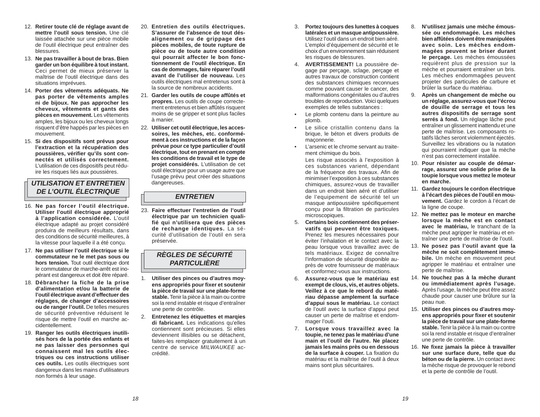- 12. **Retirer toute clé de réglage avant de mettre l'outil sous tension.** Une clé laissée attachée sur une pièce mobile de l'outil électrique peut entraîner des blessures.
- 13. **Ne pas travailler à bout de bras. Bien garder un bon équilibre à tout instant.** Ceci permet de mieux préserver la maîtrise de l'outil électrique dans des situations imprévues.
- 14. **Porter des vêtements adéquats. Ne pas porter de vêtements amples ni de bijoux. Ne pas approcher les cheveux, vêtements et gants des pièces en mouvement.** Les vêtements amples, les bijoux ou les cheveux longs risquent d'être happés par les pièces en mouvement.
- 15. **Si des dispositifs sont prévus pour l'extraction et la récupération des poussières, vérifi er qu'ils sont connectés et utilisés correctement.** L'utilisation de ces dispositifs peut réduire les risques liés aux poussières.

# *UTILISATION ET ENTRETIEN DE L'OUTIL ÉLECTRIQUE*

- 16. **Ne pas forcer l'outil électrique. Utiliser l'outil électrique approprié à l'application considérée.** L'outil électrique adapté au projet considéré produira de meilleurs résultats, dans des conditions de sécurité meilleures, à la vitesse pour laquelle il a été conçu.
- 17. **Ne pas utiliser l'outil électrique si le commutateur ne le met pas sous ou hors tension.** Tout outil électrique dont le commutateur de marche-arrêt est inopérant est dangereux et doit être réparé.
- 18. **Débrancher la fiche de la prise d'alimentation et/ou la batterie de l'outil électrique avant d'effectuer des réglages, de changer d'accessoires ou de ranger l'outil.** De telles mesures de sécurité préventive réduisent le risque de mettre l'outil en marche accidentellement.
- 19. **Ranger les outils électriques inutilisés hors de la portée des enfants et ne pas laisser des personnes qui connaissent mal les outils électriques ou ces instructions utiliser ces outils.** Les outils électriques sont dangereux dans les mains d'utilisateurs non formés à leur usage.
- 20. **Entretien des outils électriques. S'assurer de l'absence de tout désalignement ou de grippage des pièces mobiles, de toute rupture de pièce ou de toute autre condition qui pourrait affecter le bon fonctionnement de l'outil électrique. En cas de dommages, faire réparer l'outil avant de l'utiliser de nouveau.** Les outils électriques mal entretenus sont à la source de nombreux accidents.
- 21. **Garder les outils de coupe affûtés et propres.** Les outils de coupe correctement entretenus et bien affûtés risquent moins de se gripper et sont plus faciles à manier.
- 22. **Utiliser cet outil électrique, les accessoires, les mèches, etc. conformément à ces instructions et de la façon prévue pour ce type particulier d'outil électrique, tout en prenant en compte les conditions de travail et le type de projet considérés.** L'utilisation de cet outil électrique pour un usage autre que l'usage prévu peut créer des situations dangereuses.

## *ENTRETIEN*

23. **Faire effectuer l'entretien de l'outil électrique par un technicien qualifié qui n'utilisera que des pièces de rechange identiques.** La sécurité d'utilisation de l'outil en sera préservée.

# *RÈGLES DE SÉCURITÉ PARTICULIÈRE*

- 1. **Utiliser des pinces ou d'autres moyens appropriés pour fi xer et soutenir la pièce de travail sur une plate-forme stable.** Tenir la pièce à la main ou contre soi la rend instable et risque d'entraîner une perte de contrôle.
- 2. **Entretenez les étiquettes et marqies di fabricant.** Les indications qu'elles contiennent sont précieuses. Si elles deviennent illisibles ou se détachent, faites-les remplacer gratuitement à un centre de service *MILWAUKEE* accrédité.
- 3. **Portez toujours des lunettes à coques latérales et un masque antipoussière.** Utilisez l'outil dans un endroit bien aéré. L'emploi d'équipement de sécurité et le choix d'un environnement sain réduisent les risques de blessures.
- 4. **AVERTISSEMENT!** La poussière degage par perçage, sclage, perçage et autres travaux de construction contient des substances chimiques reconnues comme pouvant causer le cancer, des malformations congénitales ou d'autres troubles de reproduction. Voici quelques exemples de telles substances :
- Le plomb contenu dans la peinture au plomb.
- Le silice cristallin contenu dans la brique, le béton et divers produits de maçonnerie.
- L'arsenic et le chrome servant au traitement chimique du bois.

 Les risque associés à l'exposition à ces substances varient, dépendant de la fréquence des travaux. Afin de minimiser l'exposition à ces substances chimiques, assurez-vous de travailler dans un endroit bien aéré et d'utiliser de l'equipement de sécurité tel un masque antipoussière spécifiquement conçu pour la filtration de particules microscopiques.

- 5. **Certains bois contiennent des préservatifs qui peuvent être toxiques.** Prenez les mesures nécessaires pour éviter l'inhalation et le contact avec la peau lorsque vous travaillez avec de tels matériaux. Exigez de connaître l'information de sécurité disponible auprès de votre fournisseur de matériaux et conformez-vous aux instructions.
- 6. **Assurez-vous que le matériau est exempt de clous, vis, et autres objets. Veillez à ce que le rebord du matériau dépasse amplement la surface d'appui sous le matériau.** Le contact de l'outil avec la surface d'appui peut causer un perte de maîtrise et endommager l'outi.
- 7. **Lorsque vous travaillez avec la toupie, ne tenez pas le matériau d'une main et l'outil de l'autre. Ne placez jamais les mains près ou en dessous de la surface à couper.** La fixation du matériau et la maîtrise de l'outil à deux mains sont plus sécuritaires.
- 8. **N'utilisez jamais une mèche émoussée ou endommagée. Les mèches bien affûtées doivent être manipulées avec soin. Les mèches endommagées peuvent se briser durant le perçage.** Les mèches émoussées requièrent plus de pression sur la mèche et pourraient entraîner un bris. Les mèches endommagées peuvent projeter des particules de carbure et brûler la surface du matériau.
- 9. **Après un changement de mèche ou un réglage, assurez-vous que l'écrou de douille de serrage et tous les autres dispositifs de serrage sont serrés à fond.** Un réglage lâche peut entraîner un glissement inattendu et une perte de maîtrise. Les composants rotatifs lâches seront violemment éjectés. Surveillez les vibrations ou la nutation qui pourraient indiquer que la mèche <sup>n</sup>'est pas correctement installée.
- 10. **Pour résister au couple de démarrage, assurez une solide prise de la toupie lorsque vous mettez le moteur en marche.**
- 11. **Gardez toujours le cordon électrique à l'écart des pièces de l'outil en mouvement.** Gardez le cordon à l'écart de la ligne de coupe.
- 12. **Ne mettez pas le moteur en marche lorsque la mèche est en contact avec le matériau,** le tranchant de la mèche peut agripper le matériau et entraîner une perte de maîtrise de l'outil.
- 13. **Ne posez pas l'outil avant que la mèche ne soit complètement immobile.** Un mèche en mouvement peut agripper le matériau et entraîner une perte de maîtrise.
- 14. **Ne touchez pas à la mèche durant ou immédiatement après l'usage.** Après l'usage, la mèche peut être assez chaude pour causer une brûlure sur la peau nue.
- 15. **Utiliser des pinces ou d'autres moyens appropriés pour fi xer et soutenir la pièce de travail sur une plate-forme stable.** Tenir la pièce à la main ou contre soi la rend instable et risque d'entraîner une perte de contrôle.
- 16. **Ne fi xez jamais la pièce à travailler sur une surface dure, telle que du béton ou de la pierre.** Un contact avec la mèche risque de provoquer le rebond et la perte de contrôle de l'outil.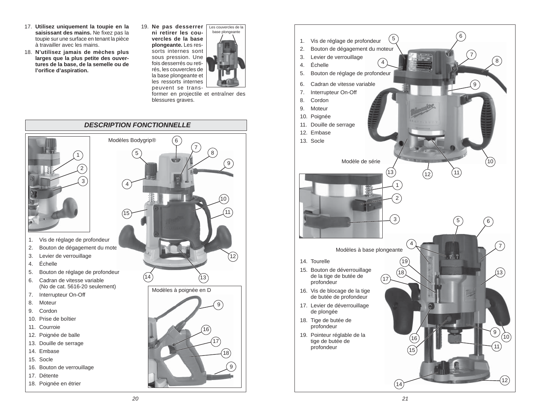- 17. **Utilisez uniquement la toupie en la**  saisissant des mains. Ne fixez pas la toupie sur une surface en tenant la pièce à travailler avec les mains.
- 18. **N'utilisez jamais de mèches plus larges que la plus petite des ouvertures de la base, de la semelle ou de l'orifi ce d'aspiration.**



former en projectile et entraîner des blessures graves.

12

9

# *DESCRIPTION FONCTIONNELLE*



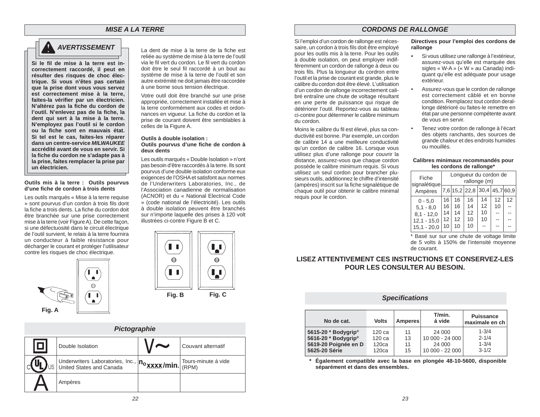# *MISE A LA TERRE*



*AVERTISSEMENT*

Si le fil de mise à la terre est in**correctement raccordé, il peut en résulter des risques de choc électrique. Si vous n'êtes pas certain que la prise dont vous vous servez est correctement mise à la terre,**  faites-la vérifier par un électricien. **N'altérez pas la fi che du cordon de l'outil. N'enlevez pas de la fi che, la dent qui sert à la mise à la terre. N'employez pas l'outil si le cordon ou la fi che sont en mauvais état. Si tel est le cas, faites-les réparer dans un centre-service** *MILWAUKEE***accrédité avant de vous en servir. Si la fi che du cordon ne s'adapte pas à la prise, faites remplacer la prise par un électricien.**

#### **Outils mis à la terre : Outils pourvus d'une fi che de cordon à trois dents**

Les outils marqués « Mise à la terre requise » sont pourvus d'un cordon à trois fils dont la fiche a trois dents. La fiche du cordon doit être branchée sur une prise correctement mise à la terre (voir Figure A). De cette façon, si une défectuosité dans le circuit électrique de l'outil survient, le relais à la terre fournira un conducteur à faible résistance pour décharger le courant et protéger l'utilisateur contre les risques de choc électrique.

> LТ  $\bullet$  $\ominus$

**Fig. A**

La dent de mise à la terre de la fiche est reliée au système de mise à la terre de l'outil via le fil vert du cordon. Le fil vert du cordon doit être le seul fil raccordé à un bout au système de mise à la terre de l'outil et son autre extrémité ne doit jamais être raccordée à une borne sous tension électrique.

Votre outil doit être branché sur une prise appropriée, correctement installée et mise à la terre conformément aux codes et ordonnances en vigueur. La fiche du cordon et la prise de courant doivent être semblables à celles de la Figure A.

#### **Outils à double isolation :Outils pourvus d'une fi che de cordon à deux dents**

Les outils marqués « Double Isolation » n'ont pas besoin d'être raccordés à la terre. Ils sont pourvus d'une double isolation conforme eux exigences de l'OSHA et satisfont aux normes de l'Underwriters Laboratories, Inc., de l'Association canadienne de normalisation (ACNOR) et du « National Electrical Code » (code national de l'électricité). Les outils à double isolation peuvent être branchés sur n'importe laquelle des prises à 120 volt illustrées ci-contre Figure B et C.



| <b>Pictographie</b> |                                                                                   |  |                     |  |  |  |  |
|---------------------|-----------------------------------------------------------------------------------|--|---------------------|--|--|--|--|
|                     | Double Isolation                                                                  |  | Couvant alternatif  |  |  |  |  |
|                     | Underwriters Laboratories, Inc., no XXXX/min. Tours-r<br>United States and Canada |  | Tours-minute á vide |  |  |  |  |
|                     | Ampères                                                                           |  |                     |  |  |  |  |

# *CORDONS DE RALLONGE*

Si l'emploi d'un cordon de rallonge est nécessaire, un cordon à trois fils doit être employé pour les outils mis à la terre. Pour les outils à double isolation, on peut employer indifféremment un cordon de rallonge à deux ou trois fils. Plus la longueur du cordron entre l'outil et la prise de courant est grande, plus le calibre du cordon doit être élevé. L'utilisation d'un cordon de rallonge incorrectement calibré entraîne une chute de voltage résultant en une perte de puissance qui risque de détériorer l'outil. Reportez-vous au tableau ci-contre pour déterminer le calibre minimum du cordon.

Moins le calibre du fil est élevé, plus sa conductivité est bonne. Par exemple, un cordon de calibre 14 a une meilleure conductivité qu'un cordon de calibre 16. Lorsque vous utilisez plus d'une rallonge pour couvrir la distance, assurez-vous que chaque cordon possède le calibre minimum requis. Si vous utilisez un seul cordon pour brancher plusieurs outils, additionnez le chiffre d'intensité (ampères) inscrit sur la fiche signalétique de chaque outil pour obtenir le calibre minimal requis pour le cordon.

#### **Directives pour l'emploi des cordons de rallonge**

- **•** Si vous utilisez une rallonge à l'extérieur, assurez-vous qu'elle est marquée des sigles « W-A » (« W » au Canada) indiquant qu'elle est adéquate pour usage extérieur.
- Assurez-vous que le cordon de rallonge est correctement câblé et en bonne condition. Remplacez tout cordon derallonge détérioré ou faites-le remettre en état par une personne compétente avant de vous en servir.
- Tenez votre cordon de rallonge à l'écart des objets ranchants, des sources de grande chaleur et des endroits humides ou mouillés.

#### **Calibres minimaux recommandés pour les cordons de rallonge\***

| Fiche<br>signalétique                                                      | Longueur du cordon de<br>rallonge (m)   |                            |                              |                      |          |    |
|----------------------------------------------------------------------------|-----------------------------------------|----------------------------|------------------------------|----------------------|----------|----|
| Ampères                                                                    |                                         |                            | 7,6 15,2 22,8 30,4 45,7 60,9 |                      |          |    |
| $0 - 5.0$<br>$5,1 - 8,0$<br>$8.1 - 12.0$<br>$12,1 - 15,0$<br>$15.1 - 20.0$ | 16<br>16<br>14<br>12 <sup>2</sup><br>10 | 16<br>16<br>14<br>12<br>10 | 16<br>14<br>12<br>10<br>10   | 14<br>12<br>10<br>10 | 12<br>10 | 12 |

\* Basé sur sur une chute de voltage limite de 5 volts à 150% de l'intensité moyenne de courant.

# **LISEZ ATTENTIVEMENT CES INSTRUCTIONS ET CONSERVEZ-LES POUR LES CONSULTER AU BESOIN.**

# *Specifi cations*

| No de cat.                        | <b>Volts</b> | <b>Amperes</b> | T/min.<br>á vide | <b>Puissance</b><br>maximale en ch |
|-----------------------------------|--------------|----------------|------------------|------------------------------------|
| 5615-20 $*$ Bodygrip <sup>®</sup> | 120 ca       | 11             | 24 000           | $1 - 3/4$                          |
| 5616-20 * Bodygrip®               | 120 ca       | 13             | 10 000 - 24 000  | $2 - 1/4$                          |
| 5619-20 Poignée en D              | 120ca        | 11             | 24 000           | $1 - 3/4$                          |
| 5625-20 Série                     | 120ca        | 15             | 10 000 - 22 000  | $3 - 1/2$                          |

 **\* Également compatible avec la base en plongée 48-10-5600, disponible séparément et dans des ensembles.**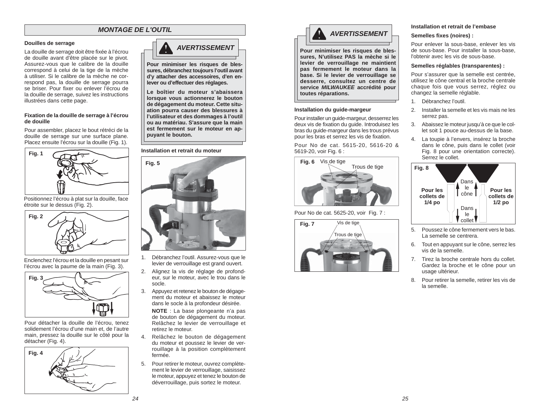# *MONTAGE DE L'OUTIL*

#### **Douilles de serrage**

La douille de serrage doit être fixée à l'écrou de douille avant d'être placée sur le pivot. Assurez-vous que le calibre de la douille correspond à celui de la tige de la mèche à utiliser. Si le calibre de la mèche ne correspond pas, la douille de serrage pourra se briser. Pour fixer ou enlever l'écrou de la douille de serrage, suivez les instructions illustrées dans cette page.

#### **Fixation de la douille de serrage à l'écrou de douille**

Pour assembler, placez le bout rétréci de la douille de serrage sur une surface plane. Placez ensuite l'écrou sur la douille (Fig. 1).



Positionnez l'écrou à plat sur la douille, face étroite sur le dessus (Fig. 2).



Enclenchez l'écrou et la douille en pesant sur l'écrou avec la paume de la main (Fig. 3).



Pour détacher la douille de l'écrou, tenez solidement l'écrou d'une main et, de l'autre main, pressez la douille sur le côté pour la détacher (Fig. 4).





**Pour minimiser les risques de blessures, débranchez toujours l'outil avant d'y attacher des accessoires, d'en enlever ou d'effectuer des réglages.** 

**Le boîtier du moteur s'abaissera lorsque vous actionnerez le bouton de dégagement du moteur. Cette situation pourra causer des blessures à l'utilisateur et des dommages à l'outil ou au matériau. S'assure que la main est fermement sur le moteur en appuyant le bouton.** 

#### **Installation et retrait du moteur**



- 1. Débranchez l'outil. Assurez-vous que le levier de verrouillage est grand ouvert.
- 2. Alignez la vis de réglage de profondeur, sur le moteur, avec le trou dans le socle.
- 3. Appuyez et retenez le bouton de dégagement du moteur et abaissez le moteur dans le socle à la profondeur désirée.
	- **NOTE** : La base plongeante n'a pas de bouton de dégagement du moteur. Relâchez le levier de verrouillage et retirez le moteur.
- 4. Relâchez le bouton de dégagement du moteur et poussez le levier de verrouillage à la position complètement fermée.
- 5. Pour retirer le moteur, ouvrez complètement le levier de verrouillage, saisissez le moteur, appuyez et tenez le bouton de déverrouillage, puis sortez le moteur.



**Pour minimiser les risques de blessures, N'utilisez PAS la mèche si le levier de verrouillage ne maintient pas fermement le moteur dans la base. Si le levier de verrouillage se desserre, consultez un centre de service** *MILWAUKEE* **accrédité pour toutes réparations.**

#### **Installation du guide-margeur**

Pour installer un guide-margeur, desserrez les deux vis de fixation du quide. Introduisez les bras du guide-margeur dans les trous prévus pour les bras et serrez les vis de fixation.

Pour No de cat. 5615-20, 5616-20 & 5619-20, voir Fig. 6 :



Pour No de cat. 5625-20, voir Fig. 7 :



#### **Installation et retrait de l'embase**

#### **Semelles fi xes (noires) :**

Pour enlever la sous-base, enlever les vis de sous-base. Pour installer la sous-base, l'obtenir avec les vis de sous-base.

#### **Semelles réglables (transparentes) :**

Pour s'assurer que la semelle est centrée, utilisez le cône central et la broche centrale chaque fois que vous serrez, réglez ou changez la semelle réglable.

- 1. Débranchez l'outil.
- 2. Installer la semelle et les vis mais ne les serrez pas.
- 3. Abaissez le moteur jusqu'à ce que le collet soit 1 pouce au-dessus de la base.
- 4. La toupie à l'envers, insérez la broche dans le cône, puis dans le collet (voir Fig. 8 pour une orientation correcte). Serrez le collet.



- 5. Poussez le cône fermement vers le bas. La semelle se centrera.
- 6. Tout en appuyant sur le cône, serrez les vis de la semelle.
- 7. Tirez la broche centrale hors du collet. Gardez la broche et le cône pour un usage ultérieur.
- 8. Pour retirer la semelle, retirer les vis de la semelle.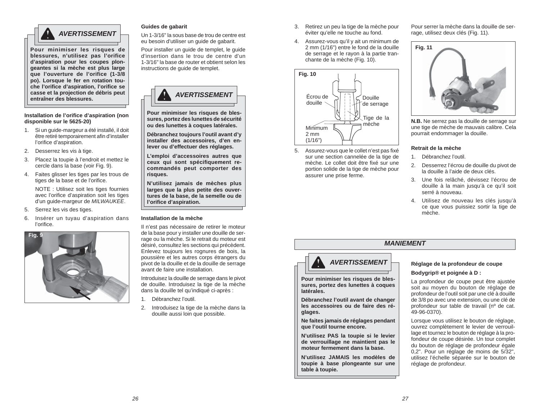

**Installation de l'orifi ce d'aspiration (non** 

**Pour minimiser les risques de blessures, n'utilisez pas l'orifice d'aspiration pour les coupes plongeantes si la mèche est plus large que l'ouverture de l'orifice (1-3/8 po). Lorsque le fer en rotation touche l'orifi ce d'aspiration, l'orifi ce se casse et la projection de débris peut** 

1. Si un guide-margeur a été installé, il doit être retiré temporairement afin d'installer

3. Placez la toupie à l'endroit et mettez le cercle dans la base (voir Fig. 9). 4. Faites glisser les tiges par les trous de tiges de la base et de l'orifice.

> NOTE : Utilisez soit les tiges fournies avec l'orifice d'aspiration soit les tiges d'un guide-margeur de *MILWAUKEE*.

6. Insérer un tuyau d'aspiration dans

**disponible sur le 5625-20)**

**entraîner des blessures.**

l'orifice d'aspiration. 2. Desserrez les vis à tige.

5. Serrez les vis des tiges.

l'orifice.

**Fig. 9**

#### *AVERTISSEMENT***Guides de gabarit**

Un 1-3/16" la sous base de trou de centre est eu besoin d'utiliser un guide de gabarit.

Pour installer un guide de templet, le guide d'insertion dans le trou de centre d'un 1-3/16" la base de router et obtient selon les instructions de guide de templet.



**Pour minimiser les risques de blessures, portez des lunettes de sécurité ou des lunettes à coques latérales.** 

**Débranchez toujours l'outil avant d'y installer des accessoires, d'en enlever ou d'effectuer des réglages.** 

**L'emploi d'accessoires autres que**  ceux qui sont spécifiquement re**commandés peut comporter des risques.** 

**N'utilisez jamais de mèches plus larges que la plus petite des ouvertures de la base, de la semelle ou de l'orifi ce d'aspiration.**

#### **Installation de la mèche**

Il n'est pas nécessaire de retirer le moteur de la base pour y installer une douille de serrage ou la mèche. Si le retrait du moteur est désiré, consultez les sections qui précèdent. Enlevez toujours les rognures de bois, la poussière et les autres corps étrangers du pivot de la douille et de la douille de serrage avant de faire une installation.

Introduisez la douille de serrage dans le pivot de douille. Introduisez la tige de la mèche dans la douille tel qu'indiqué ci-après :

- 1. Débranchez l'outil.
- 2. Introduisez la tige de la mèche dans la douille aussi loin que possible.
- 3. Retirez un peu la tige de la mèche pour Pour serrer la mèche dans la dou<br>
éviter qu'elle ne touche au fond. rage, utilisez deux clés (Fig. 11).
- 4. Assurez-vous qu'il y ait un minimum de 2 mm (1/16") entre le fond de la douille de serrage et le rayon à la partie tranchante de la mèche (Fig. 10).



5. Assurez-vous que le collet n'est pas fixé sur une section cannelée de la tige de mèche. Le collet doit être fixé sur une portion solide de la tige de mèche pour assurer une prise ferme.

**Pour minimiser les risques de blessures, portez des lunettes à coques** 

*AVERTISSEMENT*

**Débranchez l'outil avant de changer les accessoires ou de faire des ré-**

**Ne faites jamais de réglages pendant** 

**N'utilisez PAS la toupie si le levier de verrouillage ne maintient pas le moteur fermement dans la base.N'utilisez JAMAIS les modèles de toupie à base plongeante sur une** 

**que l'outil tourne encore.** 

**latérales.** 

**glages.** 

**table à toupie.** 

Pour serrer la mèche dans la douille de ser-



**N.B.** Ne serrez pas la douille de serrage sur une tige de mèche de mauvais calibre. Cela pourrait endommager la douille.

#### **Retrait de la mèche**

- 1. Débranchez l'outil.
- 2. Desserrez l'écrou de douille du pivot de la douille à l'aide de deux clés.
- 3. Une fois relâché, dévissez l'écrou de douille à la main jusqu'à ce qu'il soit serré à nouveau.
- 4. Utilisez de nouveau les clés jusqu'à ce que vous puissiez sortir la tige de mèche.

# *MANIEMENT*

#### **Réglage de la profondeur de coupe**

#### **Bodygrip® et poignée à D :**

La profondeur de coupe peut être ajustée soit au moyen du bouton de réglage de profondeur de l'outil soit par une clé à douille de 3/8 po avec une extension, ou une clé de profondeur sur table de travail (nº de cat. 49-96-0370).

Lorsque vous utilisez le bouton de réglage, ouvrez complètement le levier de verrouillage et tournez le bouton de réglage à la profondeur de coupe désirée. Un tour complet du bouton de réglage de profondeur égale 0,2". Pour un réglage de moins de 5/32", utilisez l'échelle séparée sur le bouton de réglage de profondeur.

#### *26*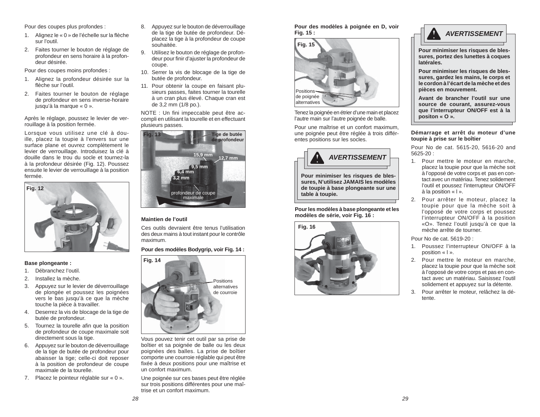Pour des coupes plus profondes :

- 1. Alignez le « 0 » de l'échelle sur la flèche sur l'outil.
- 2. Faites tourner le bouton de réglage de profondeur en sens horaire à la profondeur désirée.

Pour des coupes moins profondes :

- 1. Alignez la profondeur désirée sur la flèche sur l'outil.
- 2. Faites tourner le bouton de réglage de profondeur en sens inverse-horaire jusqu'à la marque « 0 ».

Après le réglage, poussez le levier de verrouillage à la position fermée.

Lorsque vous utilisez une clé à douille, placez la toupie à l'envers sur une surface plane et ouvrez complètement le levier de verrouillage. Introduisez la clé à douille dans le trou du socle et tournez-la à la profondeur désirée (Fig. 12). Poussez ensuite le levier de verrouillage à la position fermée.



#### **Base plongeante :**

- 1. Débranchez l'outil.
- 2. Installez la mèche.
- 3. Appuyez sur le levier de déverrouillage de plongée et poussez les poignées vers le bas jusqu'à ce que la mèche touche la pièce à travailler.
- 4. Deserrez la vis de blocage de la tige de butée de profondeur.
- 5. Tournez la tourelle afin que la position de profondeur de coupe maximale soit directement sous la tige.
- 6. Appuyez sur le bouton de déverrouillage de la tige de butée de profondeur pour abaisser la tige; celle-ci doit reposer à la position de profondeur de coupe maximale de la tourelle.
- 7. Placez le pointeur réglable sur « 0 ».
- 8. Appuyez sur le bouton de déverrouillage de la tige de butée de profondeur. Déplacez la tige à la profondeur de coupe souhaitée.
- 9. Utilisez le bouton de réglage de profondeur pour finir d'ajuster la profondeur de coupe.
- 10. Serrer la vis de blocage de la tige de butée de profondeur.
- 11. Pour obtenir la coupe en faisant plusieurs passes, faites tourner la tourelle à un cran plus élevé. Chaque cran est de 3,2 mm (1/8 po.).

NOTE : Un fini impeccable peut être accompli en utilisant la tourelle et en effectuant plusieurs passes.



#### **Maintien de l'outil**

Ces outils devraient être tenus l'utilisation des deux mains à tout instant pour le contrôle maximum.

#### **Pour des modèles Bodygrip, voir Fig. 14 :**



Vous pouvez tenir cet outil par sa prise de boîtier et sa poignée de balle ou les deux poignées des balles. La prise de boîtier comporte une courroie réglable qui peut être fixée à deux positions pour une maîtrise et un confort maximum.

Une poignée sur ces bases peut être réglée sur trois positions différentes pour une maîtrise et un confort maximum.

**Pour des modèles à poignée en D, voir Fig. 15 :**



Tenez la poignée en étrier d'une main et placez l'autre main sur l'autre poignée de balle.

Pour une maîtrise et un confort maximum, une poignée peut être réglée à trois différentes positions sur les socles.



**sures, N'utilisez JAMAIS les modèles de toupie à base plongeante sur une table à toupie.**

**Pour les modèles à base plongeante et les modèles de série, voir Fig. 16 :**





**Pour minimiser les risques de bles**sures, portez des lunettes à coques **latérales.**

**Pour minimiser les risques de blessures, gardez les mains, le corps et le cordon à l'écart de la mèche et des pièces en mouvement.** 

**Avant de brancher l'outil sur une source de courant, assurez-vous que l'interrupteur ON/OFF est à la positon « O ».**

#### **Démarrage et arrêt du moteur d'une toupie à prise sur le boîtier**

Pour No de cat. 5615-20, 5616-20 and 5625-20 :

- 1. Pour mettre le moteur en marche, placez la toupie pour que la mèche soit à l'opposé de votre corps et pas en contact avec un matériau. Tenez solidement l'outil et poussez l'interrupteur ON/OFF à la position « l ».
- 2. Pour arrêter le moteur, placez la toupie pour que la mèche soit à l'opposé de votre corps et poussez l'interrupteur ON/OFF à la position «O». Tenez l'outil jusqu'à ce que la mèche arrête de tourner.

Pour No de cat. 5619-20 :

- 1. Poussez l'interrupteur ON/OFF à la position « l ».
- 2. Pour mettre le moteur en marche, placez la toupie pour que la mèche soit à l'opposé de votre corps et pas en contact avec un matériau. Saisissez l'outil solidement et appuyez sur la détente.
- 3. Pour arrêter le moteur, relâchez la détente.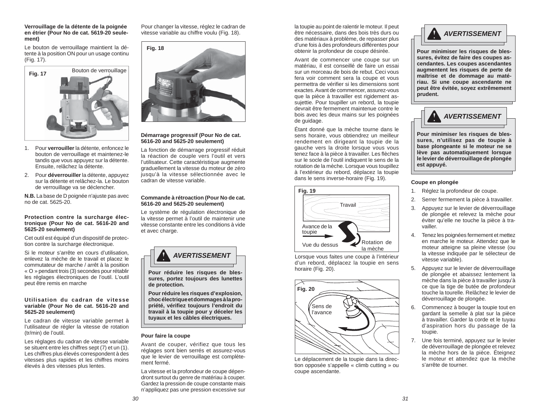**Verrouillage de la détente de la poignée en étrier (Pour No de cat. 5619-20 seulement)**

Le bouton de verrouillage maintient la détente à la position ON pour un usage continu (Fig. 17).



- 1. Pour **verrouiller** la détente, enfoncez le bouton de verrouillage et maintenez-le tandis que vous appuyez sur la détente. Ensuite, relâchez la détente.
- 2. Pour **déverrouiller** la détente, appuyez sur la détente et relâchez-la. Le bouton de verrouillage va se déclencher.

**N.B.** La base de D poignée n'ajuste pas avec no de cat. 5625-20.

#### **Protection contre la surcharge électronique (Pour No de cat. 5616-20 and 5625-20 seulement)**

Cet outil est équipé d'un dispositif de protection contre la surcharge électronique.

Si le moteur s'arrête en cours d'utilisation, enlevez la mèche de le travail et placez le commutateur de marche / arrêt à la position « O » pendant trois (3) secondes pour rétablir les réglages électroniques de l'outil. L'outil peut être remis en marche

#### **Utilisation du cadran de vitesse variable (Pour No de cat. 5616-20 and 5625-20 seulement)**

Le cadran de vitesse variable permet à l'utilisateur de régler la vitesse de rotation (tr/min) de l'outil.

Les réglages du cadran de vitesse variable se situent entre les chiffres sept (7) et un (1). Les chiffres plus élevés correspondent à des vitesses plus rapides et les chiffres moins élevés à des vitesses plus lentes.

Pour changer la vitesse, réglez le cadran de vitesse variable au chiffre voulu (Fig. 18).



#### **Démarrage progressif (Pour No de cat. 5616-20 and 5625-20 seulement)**

La fonction de démarrage progressif réduit la réaction de couple vers l'outil et vers l'utilisateur. Cette caractéristique augmente graduellement la vitesse du moteur de zéro jusqu'à la vitesse sélectionnée avec le cadran de vitesse variable.

#### **Commande à rétroaction (Pour No de cat. 5616-20 and 5625-20 seulement)**

Le système de régulation électronique de la vitesse permet à l'outil de maintenir une vitesse constante entre les conditions à vide et avec charge.



**Pour réduire les risques de blessures, portez toujours des lunettes de protection.** 

**Pour réduire les risques d'explosion, choc électrique et dommages à la propriété, vérifi ez toujours l'endroit du travail à la toupie pour y déceler les tuyaux et les câbles électriques.**

#### **Pour faire la coupe**

Avant de couper, vérifiez que tous les réglages sont bien serrés et assurez-vous que le levier de verrouillage est complètement fermé.

La vitesse et la profondeur de coupe dépendront surtout du genre de matériau à couper. Gardez la pression de coupe constante mais <sup>n</sup>'appliquez pas une pression excessive sur

la toupie au point de ralentir le moteur. Il peut être nécessaire, dans des bois très durs ou des matériaux à problème, de repasser plus d'une fois à des profondeurs différentes pour obtenir la profondeur de coupe désirée.

Avant de commencer une coupe sur un matériau, il est conseillé de faire un essai sur un morceau de bois de rebut. Ceci vous fera voir comment sera la coupe et vous permettra de vérifier si les dimensions sont exactes. Avant de commencer, assurez-vous que la pièce à travailler est rigidement assujettie. Pour toupiller un rebord, la toupie devrait être fermement maintenue contre le bois avec les deux mains sur les poignées de guidage.

Étant donné que la mèche tourne dans le sens horaire, vous obtiendrez un meilleur rendement en dirigeant la toupie de la gauche vers la droite lorsque vous vous tenez face à la pièce à travailler. Les flèches sur le socle de l'outil indiquent le sens de la rotation de la mèche. Lorsque vous toupillez à l'extérieur du rebord, déplacez la toupie dans le sens inverse-horaire (Fig. 19).



Lorsque vous faites une coupe à l'intérieur d'un rebord, déplacez la toupie en sens horaire (Fig. 20).



Le déplacement de la toupie dans la direction opposée s'appelle « climb cutting » ou coupe ascendante.



**Pour minimiser les risques de blessures, évitez de faire des coupes ascendantes. Les coupes ascendantes augmentent les risques de perte de maîtrise et de dommage au matériau. Si une coupe ascendante ne peut être évitée, soyez extrêmement prudent.** 



**Pour minimiser les risques de blessures, n'utilisez pas de toupie à base plongeante si le moteur ne se lève pas automatiquement lorsque le levier de déverrouillage de plongée est appuyé.**

#### **Coupe en plongée**

- 1. Réglez la profondeur de coupe.
- 2. Serrer fermement la pièce à travailler.
- 3. Appuyez sur le levier de déverrouillage de plongée et relevez la mèche pour éviter qu'elle ne touche la pièce à travailler.
- 4. Tenez les poignées fermement et mettez en marche le moteur. Attendez que le moteur atteigne sa pleine vitesse (ou la vitesse indiquée par le sélecteur de vitesse variable).
- 5. Appuyez sur le levier de déverrouillage de plongée et abaissez lentement la mèche dans la pièce à travailler jusqu'à ce que la tige de butée de profondeur touche la tourelle. Relâchez le levier de déverrouillage de plongée.
- 6. Commencez à bouger la toupie tout en gardant la semelle à plat sur la pièce à travailler. Garder la corde et le tuyau d'aspiration hors du passage de la toupie.
- 7. Une fois terminé, appuyez sur le levier<br>de déverrouillage de plongée et relevez la mèche hors de la pièce. Éteignez le moteur et attendez que la mèche s'arrête de tourner.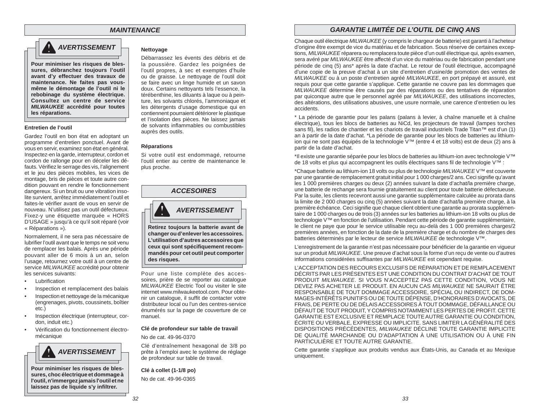# *MAINTENANCE*



# *AVERTISSEMENT*

**Pour minimiser les risques de blessures, débranchez toujours l'outil avant d'y effectuer des travaux de maintenance. Ne faites pas vousmême le démontage de l'outil ni le rebobinage du système électrique. Consultez un centre de service** *MILWAUKEE* **accrédité pour toutes les réparations.** 

#### **Entretien de l'outil**

Gardez l'outil en bon état en adoptant un programme d'entretien ponctuel. Avant de vous en servir, examinez son état en général. Inspectez-en la garde, interrupteur, cordon et cordon de rallonge pour en déceler les défauts. Vérifiez le serrage des vis, l'alignement et le jeu des pièces mobiles, les vices de montage, bris de pièces et toute autre condition pouvant en rendre le fonctionnement dangereux. Si un bruit ou une vibration insolite survient, arrêtez immédiatement l'outil et faites-le vérifier avant de vous en servir de nouveau. N'utilisez pas un outil défectueux. Fixez-y une étiquette marquée « HORS D'USAGE » jusqu'à ce qu'il soit réparé (voir « Réparations »).

Normalement, il ne sera pas nécessaire de lubrifier l'outil avant que le temps ne soit venu de remplacer les balais. Après une période pouvant aller de 6 mois à un an, selon l'usage, retournez votre outil à un centre de service *MILWAUKEE* accrédité pour obtenir les services suivants:

- **Lubrification**
- Inspection et remplacement des balais
- Inspection et nettoyage de la mécanique (engrenages, pivots, coussinets, boîtier etc.)
- Inspection électrique (interrupteur, cordon, induit etc.)
- Vérification du fonctionnement électromécanique



**Pour minimiser les risques de blessures, choc électrique et dommage à l'outil, n'immergez jamais l'outil et ne**  laissez pas de liquide s'y infiltrer.

#### **Nettoyage**

Débarrassez les évents des débris et de la poussière. Gardez les poignées de l'outil propres, à sec et exemptes d'huile ou de graisse. Le nettoyage de l'outil doit se faire avec un linge humide et un savon doux. Certains nettoyants tels l'essence, la térébenthine, les diluants à laque ou à peinture, les solvants chlorés, l'ammoniaque et les détergents d'usage domestique qui en contiennent pourraient détériorer le plastique et l'isolation des pièces. Ne laissez jamais de solvants inflammables ou combustibles auprès des outils.

#### **Réparations**

Si votre outil est endommagé, retourne l'outil entier au centre de maintenance le plus proche.



soires, prière de se reporter au catalogue *MILWAUKEE* Electric Tool ou visiter le site internet www.milwaukeetool.com. Pour obtenir un catalogue, il suffit de contacter votre distributeur local ou l'un des centres-service énumérés sur la page de couverture de ce manuel.

#### **Clé de profondeur sur table de travail** No de cat. 49-96-0370

Clé d'entraînement hexagonal de 3/8 po prête à l'emploi avec le système de réglage de profondeur sur table de travail.

**Clé à collet (1-1/8 po)**

No de cat. 49-96-0365

# *GARANTIE LIMITÉE DE L'OUTIL DE CINQ ANS*

Chaque outil électrique *MILWAUKEE* (y compris le chargeur de batterie) est garanti à l'acheteur d'origine être exempt de vice du matériau et de fabrication. Sous réserve de certaines exceptions, *MILWAUKEE* réparera ou remplacera toute pièce d'un outil électrique qui, après examen, sera avéré par *MILWAUKEE* être affecté d'un vice du matériau ou de fabrication pendant une période de cinq (5) ans\* après la date d'achat. Le retour de l'outil électrique, accompagné d'une copie de la preuve d'achat à un site d'entretien d'usine/de promotion des ventes de *MILWAUKEE* ou à un poste d'entretien agréé *MILWAUKEE*, en port prépayé et assuré, est requis pour que cette garantie s'applique. Cette garantie ne couvre pas les dommages que *MILWAUKEE* détermine être causés par des réparations ou des tentatives de réparation par quiconque autre que le personnel agréé par *MILWAUKEE*, des utilisations incorrectes, des altérations, des utilisations abusives, une usure normale, une carence d'entretien ou les accidents.

\* La période de garantie pour les palans (palans à levier, à chaîne manuelle et à chaîne électrique), tous les blocs de batteries au NiCd, les projecteurs de travail (lampes torches sans fil), les radios de chantier et les chariots de travail industriels Trade Titan™ est d'un (1) an à partir de la date d'achat. \*La période de garantie pour les blocs de batteries au lithiumion qui ne sont pas équipés de la technologie V™ (entre 4 et 18 volts) est de deux (2) ans à partir de la date d'achat.

\*Il existe une garantie séparée pour les blocs de batteries au lithium-ion avec technologie V™ de 18 volts et plus qui accompagnent les outils électriques sans fi l de technologie V™ :

\*Chaque batterie au lithium-ion 18 volts ou plus de technologie *MILWAUKEE* V™ est couverte par une garantie de remplacement gratuit initial pour 1 000 charges/2 ans. Ceci signifie qu'avant les 1 000 premières charges ou deux (2) années suivant la date d'achat/la première charge, une batterie de rechange sera fournie gratuitement au client pour toute batterie défectueuse. Par la suite, les clients recevront aussi une garantie supplémentaire calculée au prorata dans la limite de 2 000 charges ou cinq (5) années suivant la date d'achat/la première charge, à la première échéance. Ceci signifie que chaque client obtient une garantie au prorata supplémentaire de 1 000 charges ou de trois (3) années sur les batteries au lithium-ion 18 volts ou plus de technologie V™ en fonction de l'utilisation. Pendant cette période de garantie supplémentaire, le client ne paye que pour le service utilisable reçu au-delà des 1 000 premières charges/2 premières années, en fonction de la date de la première charge et du nombre de charges des batteries déterminés par le lecteur de service *MILWAUKEE* de technologie V™.

L'enregistrement de la garantie n'est pas nécessaire pour bénéficier de la garantie en vigueur sur un produit *MILWAUKEE*. Une preuve d'achat sous la forme d'un reçu de vente ou d'autres informations considérées suffisantes par *MILWAUKEE* est cependant requise.

L'ACCEPTATION DES RECOURS EXCLUSIFS DE RÉPARATION ET DE REMPLACEMENT DÉCRITS PAR LES PRÉSENTES EST UNE CONDITION DU CONTRAT D'ACHAT DE TOUT PRODUIT *MILWAUKEE*. SI VOUS N'ACCEPTEZ PAS CETTE CONDITION, VOUS NE DEVEZ PAS ACHETER LE PRODUIT. EN AUCUN CAS *MILWAUKEE* NE SAURAIT ÊTRE RESPONSABLE DE TOUT DOMMAGE ACCESSOIRE, SPÉCIAL OU INDIRECT, DE DOM-MAGES-INTÉRÊTS PUNITIFS OU DE TOUTE DÉPENSE, D'HONORAIRES D'AVOCATS, DE FRAIS, DE PERTE OU DE DÉLAIS ACCESSOIRES À TOUT DOMMAGE, DÉFAILLANCE OU DÉFAUT DE TOUT PRODUIT, Y COMPRIS NOTAMMENT LES PERTES DE PROFIT. CETTE GARANTIE EST EXCLUSIVE ET REMPLACE TOUTE AUTRE GARANTIE OU CONDITION, ÉCRITE OU VERBALE, EXPRESSE OU IMPLICITE. SANS LIMITER LA GÉNÉRALITÉ DES DISPOSITIONS PRÉCÉDENTES, *MILWAUKEE* DÉCLINE TOUTE GARANTIE IMPLICITE DE QUALITÉ MARCHANDE OU D'ADAPTATION À UNE UTILISATION OU À UNE FIN PARTICULIÈRE ET TOUTE AUTRE GARANTIE.

Cette garantie s'applique aux produits vendus aux États-Unis, au Canada et au Mexique uniquement.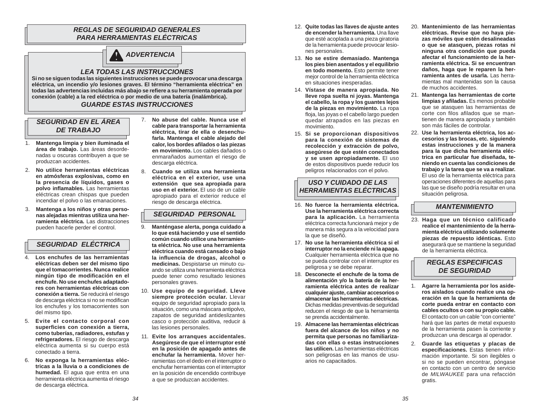# *REGLAS DE SEGURIDAD GENERALES PARA HERRAMIENTAS ELÉCTRICAS*



# *LEA TODAS LAS INSTRUCCIONES*

 **Si no se siguen todas las siguientes instrucciones se puede provocar una descarga eléctrica, un incendio y/o lesiones graves. El término "herramienta eléctrica" en todas las advertencias incluidas más abajo se refi ere a su herramienta operada por conexión (cable) a la red eléctrica o por medio de una batería (inalámbrica).** *GUARDE ESTAS INSTRUCCIONES*

# *SEGURIDAD EN EL ÁREA DE TRABAJO*

- 1. **Mantenga limpia y bien iluminada el área de trabajo.** Las áreas desordenadas u oscuras contribuyen a que se produzcan accidentes.
- 2. **No utilice herramientas eléctricas en atmósferas explosivas, como en la presencia de líquidos, gases o polvo infl amables.** Las herramientas eléctricas crean chispas que pueden incendiar el polvo o las emanaciones.
- 3. **Mantenga a los niños y otras personas alejadas mientras utiliza una herramienta eléctrica.** Las distracciones pueden hacerle perder el control.

# *SEGURIDAD ELÉCTRICA*

- 4. **Los enchufes de las herramientas eléctricas deben ser del mismo tipo que el tomacorrientes. Nunca realice ningún tipo de modifi cación en el enchufe. No use enchufes adaptadores con herramientas eléctricas con conexión a tierra.** Se reducirá el riesgo de descarga eléctrica si no se modifican los enchufes y los tomacorrientes son del mismo tipo.
- 5. **Evite el contacto corporal con superfi cies con conexión a tierra, como tuberías, radiadores, estufas y refrigeradores.** El riesgo de descarga eléctrica aumenta si su cuerpo está conectado a tierra.
- 6. **No exponga la herramientas eléctricas a la lluvia o a condiciones de humedad.** El agua que entra en una herramienta eléctrica aumenta el riesgo de descarga eléctrica.
- 7. **No abuse del cable. Nunca use el cable para transportar la herramienta eléctrica, tirar de ella o desenchufarla. Mantenga el cable alejado del calor, los bordes afi lados o las piezas en movimiento.** Los cables dañados o enmarañados aumentan el riesgo de descarga eléctrica.
- 8. **Cuando se utiliza una herramienta eléctrica en el exterior, use una extensión que sea apropiada para uso en el exterior.** El uso de un cable apropiado para el exterior reduce el riesgo de descarga eléctrica.

# *SEGURIDAD PERSONAL*

- 9. **Manténgase alerta, ponga cuidado a lo que está haciendo y use el sentido común cuando utilice una herramienta eléctrica. No use una herramienta eléctrica cuando está cansado o bajo la infl uencia de drogas, alcohol o medicinas.** Despistarse un minuto cuando se utiliza una herramienta eléctrica puede tener como resultado lesiones personales graves.
- 10. **Use equipo de seguridad. Lleve siempre protección ocular.** Llevar equipo de seguridad apropiado para la situación, como una máscara antipolvo, zapatos de seguridad antideslizantes casco o protección auditiva, reducir á las lesiones personales.
- 11. **Evite los arranques accidentales. Asegúrese de que el interruptor esté en la posición de apagado antes de enchufar la herramienta.** Mover herramientas con el dedo en el interruptor o enchufar herramientas con el interruptor en la posición de encendido contribuye a que se produzcan accidentes.
- 12. **Quite todas las llaves de ajuste antes de encender la herramienta.** Una llave que esté acoplada a una pieza giratoria de la herramienta puede provocar lesiones personales.
- 13. **No se estire demasiado. Mantenga los pies bien asentados y el equilibrio en todo momento.** Esto permite tener mejor control de la herramienta eléctrica en situaciones inesperadas.
- 14. **Vístase de manera apropiada. No lleve ropa suelta ni joyas. Mantenga el cabello, la ropa y los guantes lejos de la piezas en movimiento.** La ropa floja, las joyas o el cabello largo pueden quedar atrapados en las piezas en movimiento.
- 15. **Si se proporcionan dispositivos para la conexión de sistemas de recolección y extracción de polvo, asegúrese de que estén conectados y se usen apropiadamente.** El uso de estos dispositivos puede reducir los peligros relacionados con el polvo.

# *USO Y CUIDADO DE LAS HERRAMIENTAS ELÉCTRICAS*

- 16. **No fuerce la herramienta eléctrica. Use la herramienta eléctrica correcta para la aplicación.** La herramienta eléctrica correcta funcionará mejor y de manera más segura a la velocidad para la que se diseñó.
- 17. **No use la herramienta eléctrica si el interruptor no la enciende ni la apaga.** Cualquier herramienta eléctrica que no se pueda controlar con el interruptor es peligrosa y se debe reparar.
- 18. **Desconecte el enchufe de la toma de alimentación y/o la batería de la herramienta eléctrica antes de realizar cualquier ajuste, cambiar accesorios o almacenar las herramientas eléctricas.** Dichas medidas preventivas de seguridad reducen el riesgo de que la herramienta se prenda accidentalmente.
- 19. **Almacene las herramientas eléctricas fuera del alcance de los niños y no permita que personas no familiarizadas con ellas o estas instrucciones las utilicen.** Las herramientas eléctricas son peligrosas en las manos de usuarios no capacitados.
- 20. **Mantenimiento de las herramientas eléctricas. Revise que no haya piezas móviles que estén desalineadas o que se atasquen, piezas rotas ni ninguna otra condición que pueda afectar el funcionamiento de la herramienta eléctrica. Si se encuentran daños, haga que le reparen la herramienta antes de usarla.** Las herramientas mal mantenidas son la causa de muchos accidentes.
- 21. **Mantenga las herramientas de corte limpias y afiladas.** Es menos probable que se atasquen las herramientas de corte con filos afilados que se mantienen de manera apropiada y también son más fáciles de controlar.
- 22. **Use la herramienta eléctrica, los accesorios y las brocas, etc. siguiendo estas instrucciones y de la manera para la que dicha herramienta eléctrica en particular fue diseñada, teniendo en cuenta las condiciones de trabajo y la tarea que se va a realizar.**  El uso de la herramienta eléctrica para operaciones diferentes de aquellas para las que se diseño podría resultar en una situación peligrosa.

# *MANTENIMIENTO*

23. **Haga que un técnico calificado realice el mantenimiento de la herramienta eléctrica utilizando solamente piezas de repuesto idénticas.** Esto asegurará que se mantiene la seguridad de la herramienta eléctrica.

# *REGLAS ESPECIFICAS DE SEGURIDAD*

- 1. **Agarre la herramienta por los asideros aislados cuando realice una operación en la que la herramienta de corte pueda entrar en contacto con cables ocultos o con su propio cable.**  El contacto con un cable "con corriente" hará que las partes de metal expuesto de la herramienta pasen la corriente y produzcan una descarga al operador.
- 2. **Guarde las etiquetas y placas de especifi caciones.** Estas tienen información importante. Si son ilegibles o si no se pueden encontrar, póngase en contacto con un centro de servicio de *MILWAUKEE* para una refacción gratis.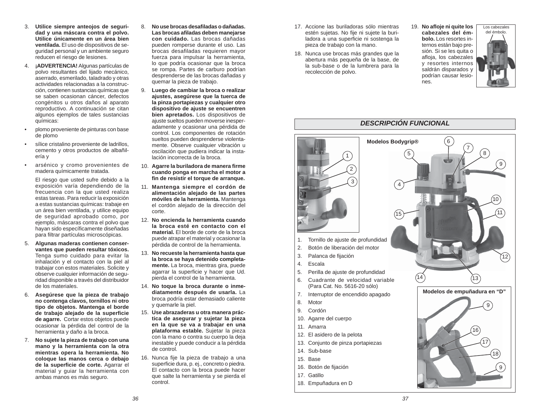- 3. **Utilice siempre anteojos de seguridad y una máscara contra el polvo. Utilice únicamente en un área bien ventilada.** El uso de dispositivos de seguridad personal y un ambiente seguro reducen el riesgo de lesiones.
- 4. **¡ADVERTENCIA!** Algunas partículas de polvo resultantes del lijado mecánico, aserrado, esmerilado, taladrado y otras actividades relacionadas a la construcción, contienen sustancias químicas que se saben ocasionan cáncer, defectos congénitos u otros daños al aparato reproductivo. A continuación se citan algunos ejemplos de tales sustancias químicas:
- plomo proveniente de pinturas con base de plomo
- sílice cristalino proveniente de ladrillos, cemento y otros productos de albañilería y
- arsénico y cromo provenientes de madera químicamente tratada.

 El riesgo que usted sufre debido a la exposición varía dependiendo de la frecuencia con la que usted realiza estas tareas. Para reducir la exposición a estas sustancias químicas: trabaje en un área bien ventilada, y utilice equipo de seguridad aprobado como, por ejemplo, máscaras contra el polvo que hayan sido específicamente diseñadas para filtrar partículas microscópicas.

- 5. **Algunas maderas contienen conservantes que pueden resultar tóxicos.** Tenga sumo cuidado para evitar la inhalación y el contacto con la piel al trabajar con estos materiales. Solicite y observe cualquier información de seguridad disponible a través del distribuidor de los materiales.
- 6. **Asegúrese que la pieza de trabajo no contenga clavos, tornillos ni otro tipo de objetos. Mantenga el borde de trabajo alejado de la superfi cie de agarre.** Cortar estos objetos puede ocasionar la pérdida del control de la herramienta y daño a la broca.
- 7. **No sujete la pieza de trabajo con una mano y la herramienta con la otra mientras opera la herramienta. No coloque las manos cerca o debajo de la superfi cie de corte.** Agarrar el material y guiar la herramienta con ambas manos es más seguro.
- 8. **No use brocas desafi ladas o dañadas. Las brocas afi ladas deben manejarse con cuidado.** Las brocas dañadas pueden romperse durante el uso. Las brocas desafiladas requieren mayor fuerza para impulsar la herramienta, lo que podría ocasionar que la broca se rompa. Partes de carburo podrían desprenderse de las brocas dañadas y quemar la pieza de trabajo.
- 9. **Luego de cambiar la broca o realizar ajustes, asegúrese que la tuerca de la pinza portapiezas y cualquier otro dispositivo de ajuste se encuentren bien apretados.** Los dispositivos de ajuste sueltos pueden moverse inesperadamente y ocasionar una pérdida de control. Los componentes de rotación sueltos pueden desprenderse violentamente. Observe cualquier vibración u oscilación que pudiera indicar la instalación incorrecta de la broca.
- 10. **Agarre la buriladora de manera fi rme cuando ponga en marcha el motor a fi n de resistir el torque de arranque.**
- 11. **Mantenga siempre el cordón de alimentación alejado de las partes móviles de la herramienta.** Mantenga el cordón alejado de la dirección del corte.
- 12. **No encienda la herramienta cuando la broca esté en contacto con el material.** El borde de corte de la broca puede atrapar el material y ocasionar la pérdida de control de la herramienta.
- 13. **No recueste la herramienta hasta que la broca se haya detenido completamente.** La broca, mientras gira, puede agarrar la superficie y hacer que Ud. pierda el control de la herramienta.
- 14. **No toque la broca durante o inmediatamente después de usarla.** La broca podría estar demasiado caliente y quemarle la piel.
- 15. **Use abrazaderas u otra manera práctica de asegurar y sujetar la pieza en la que se va a trabajar en una plataforma estable.** Sujetar la pieza con la mano o contra su cuerpo la deja inestable y puede conducir a la pérdida de control.
- 16. Nunca fije la pieza de trabajo a una superficie dura, p. ej., concreto o piedra. El contacto con la broca puede hacer que salte la herramienta y se pierda el control.
- 17. Accione las buriladoras sólo mientras estén sujetas. No fije ni sujete la buriladora a una superficie ni sostenga la pieza de trabajo con la mano.
- 18. Nunca use brocas más grandes que la abertura más pequeña de la base, de la sub-base o de la lumbrera para la recolección de polvo.
- 19. **No afl oje ni quite los cabezales del émbolo.** Los resortes internos están bajo presión. Si se les quita o afloja, los cabezales y resortes internos saldrán disparados y podrían causar lesiones.



# *DESCRIPCIÓN FUNCIONAL*

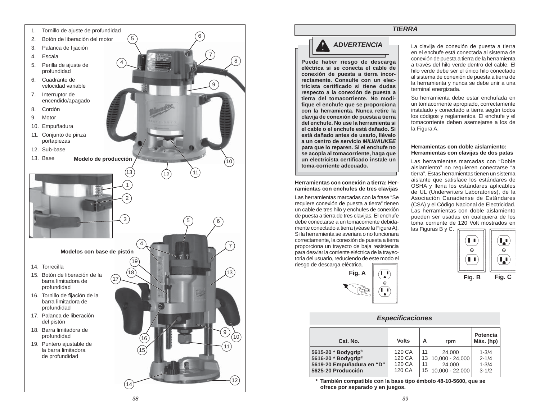



**Puede haber riesgo de descarga eléctrica si se conecta el cable de conexión de puesta a tierra incorrectamente. Consulte con un electricista certifi cado si tiene dudas respecto a la conexión de puesta a tierra del tomacorriente. No modifi que el enchufe que se proporciona con la herramienta. Nunca retire la clavija de conexión de puesta a tierra del enchufe. No use la herramienta si el cable o el enchufe está dañado. Si está dañado antes de usarlo, llévelo a un centro de servicio** *MILWAUKEE***para que lo reparen. Si el enchufe no se acopla al tomacorriente, haga que un electricista certifi cado instale un toma-corriente adecuado.**

#### **Herramientas con conexión a tierra: Herramientas con enchufes de tres clavijas**

Las herramientas marcadas con la frase "Se requiere conexión de puesta a tierra" tienen un cable de tres hilo y enchufes de conexión de puesta a tierra de tres clavijas. El enchufe debe conectarse a un tomacorriente debidamente conectado a tierra (véase la Figura A). Si la herramienta se averiara o no funcionara correctamente, la conexión de puesta a tierra proporciona un trayecto de baja resistencia para desviar la corriente eléctrica de la trayectoria del usuario, reduciendo de este modo el riesgo de descarga eléctrica.

 $\binom{1}{\bullet}$ **Fig. A**  $\ominus$  $(\overline{\phantom{a}})$ 

# *TIERRA*

La clavija de conexión de puesta a tierra en el enchufe está conectada al sistema de conexión de puesta a tierra de la herramienta a través del hilo verde dentro del cable. El hilo verde debe ser el único hilo conectado al sistema de conexión de puesta a tierra de la herramienta y nunca se debe unir a una terminal energizada.

Su herramienta debe estar enchufada en un tomacorriente apropiado, correctamente instalado y conectado a tierra según todos los códigos y reglamentos. El enchufe y el tomacorriente deben asemejarse a los de la Figura A.

#### **Herramientas con doble aislamiento:Herramientas con clavijas de dos patas**

Las herramientas marcadas con "Doble aislamiento" no requieren conectarse "a tierra". Estas herramientas tienen un sistema aislante que satisface los estándares de OSHA y llena los estándares aplicables de UL (Underwriters Laboratories), de la Asociación Canadiense de Estándares (CSA) y el Código Nacional de Electricidad. Las herramientas con doble aislamiento pueden ser usadas en cualquiera de los toma corriente de 120 Volt mostrados en las Figuras B v C.



# *Especi fi caciones*

| Cat. No.                                                                                                              | <b>Volts</b>                         | А        | rpm                                                              | <b>Potencia</b><br>Máx. (hp)                     |
|-----------------------------------------------------------------------------------------------------------------------|--------------------------------------|----------|------------------------------------------------------------------|--------------------------------------------------|
| 5615-20 * Bodygrip <sup>®</sup><br>5616-20 * Bodygrip <sup>®</sup><br>5619-20 Empuñadura en "D"<br>5625-20 Producción | 120 CA<br>120 CA<br>120 CA<br>120 CA | 11<br>11 | 24.000<br>$13 10.000 - 24.000$<br>24.000<br>15   10.000 - 22.000 | $1 - 3/4$<br>$2 - 1/4$<br>$1 - 3/4$<br>$3 - 1/2$ |

 **\* También compatible con la base tipo émbolo 48-10-5600, que se ofrece por separado y en juegos.**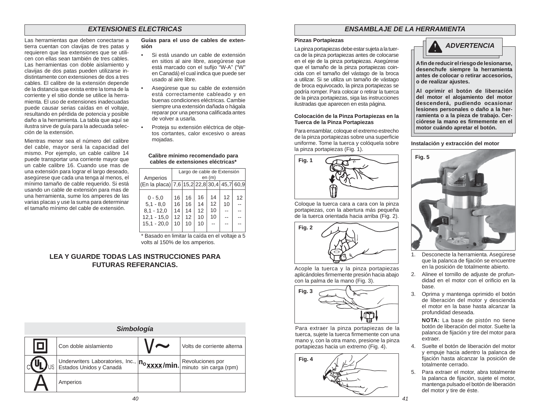# *EXTENSIONES ELECTRICAS*

Las herramientas que deben conectarse a tierra cuentan con clavijas de tres patas y requieren que las extensiones que se utilicen con ellas sean también de tres cables. Las herramientas con doble aislamiento y clavijas de dos patas pueden utilizarse indistintamente con extensiones de dos a tres cables. El calibre de la extensión depende de la distancia que exista entre la toma de la corriente y el sitio donde se utilice la herramienta. El uso de extensiones inadecuadas puede causar serias caídas en el voltaje, resultando en pérdida de potencia y posible daño a la herramienta. La tabla que aquí se ilustra sirve de guía para la adecuada selección de la extensión.

Mientras menor sea el número del calibre del cable, mayor será la capacidad del mismo. Por ejemplo, un cable calibre 14 puede transportar una corriente mayor que un cable calibre 16. Cuando use mas de una extensión para lograr el largo deseado, asegúrese que cada una tenga al menos, el mínimo tamaño de cable requerido. Si está usando un cable de extensión para mas de una herramienta, sume los amperes de las varias placas y use la suma para determinar el tamaño mínimo del cable de extensión.

#### **Guías para el uso de cables de extensión**

- Si está usando un cable de extensión en sitios al aire libre, asegúrese que está marcado con el sufijo "W-A" ("W" en Canadá) el cual indica que puede ser usado al aire libre.
- Asegúrese que su cable de extensión está correctamente cableado y en buenas condiciones eléctricas. Cambie siempre una extensión dañada o hágala reparar por una persona calificada antes de volver a usarla.
- Proteja su extensión eléctrica de objetos cortantes, calor excesivo o areas mojadas.

#### **Calibre mínimo recomendado para cables de extensiones eléctricas\***

| Amperios                                    | Largo de cable de Extensión<br>en(m) |    |    |    |    |    |
|---------------------------------------------|--------------------------------------|----|----|----|----|----|
| (En la placa) 7,6 15,2 22,8 30,4 45,7  60,9 |                                      |    |    |    |    |    |
| $0 - 5.0$                                   | 16                                   | 16 | 16 | 14 | 12 | 12 |
| $5.1 - 8.0$                                 | 16                                   | 16 | 14 | 12 | 10 |    |
| $8,1 - 12,0$                                | 14                                   | 14 | 12 | 10 |    |    |
| $12,1 - 15,0$                               | $12 \overline{ }$                    | 12 | 10 | 10 |    |    |
| $15.1 - 20.0$                               | 10                                   | 10 | 10 |    |    |    |

\* Basado en limitar la caída en el voltaje a 5 volts al 150% de los amperios.

# **LEA Y GUARDE TODAS LAS INSTRUCCIONES PARA FUTURAS REFERANCIAS.**

| Simbología |                                                               |                                      |                                            |  |  |  |  |
|------------|---------------------------------------------------------------|--------------------------------------|--------------------------------------------|--|--|--|--|
| 10         | Con doble aislamiento                                         |                                      | Volts de corriente alterna                 |  |  |  |  |
|            | Underwriters Laboratories, Inc.,  <br>Estados Unidos y Canadá | . <sup> n</sup> ∘xx <u>xx</u> /min.l | Revoluciones por<br>minuto sin carga (rpm) |  |  |  |  |
|            | Amperios                                                      |                                      |                                            |  |  |  |  |

# *ENSAMBLAJE DE LA HERRAMIENTA*

#### **Pinzas Portapiezas**

La pinza portapiezas debe estar sujeta a la tuerca de la pinza portapiezas antes de colocarse en el eje de la pinza portapiezas. Asegúrese que el tamaño de la pinza portapiezas coincida con el tamaño del vástago de la broca a utilizar. Si se utiliza un tamaño de vástago de broca equivocado, la pinza portapiezas se podría romper. Para colocar o retirar la tuerca de la pinza portapiezas, siga las instrucciones ilustradas que aparecen en esta página.

#### **Colocación de la Pinza Portapiezas en la Tuerca de la Pinza Portapiezas**

Para ensamblar, coloque el extremo estrecho de la pinza portapiezas sobre una superficie uniforme. Tome la tuerca y colóquela sobre la pinza portapiezas (Fig. 1).



Coloque la tuerca cara a cara con la pinza portapiezas, con la abertura más pequeña de la tuerca orientada hacia arriba (Fig. 2).



Acople la tuerca y la pinza portapiezas aplicándoles firmemente presión hacia abajo con la palma de la mano (Fig. 3).



Para extraer la pinza portapiezas de la tuerca, sujete la tuerca firmemente con una mano y, con la otra mano, presione la pinza portapiezas hacia un extremo (Fig. 4).





**A fi n de reducir el riesgo de lesionarse, desenchufe siempre la herramienta antes de colocar o retirar accesorios, o de realizar ajustes.**

**Al oprimir el botón de liberación del motor el alojamiento del motor descenderá, pudiendo ocasionar lesiones personales o daño a la herramienta o a la pieza de trabajo. Cerciórese la mano es fi rmemente en el motor cuándo apretar el botón.** 

#### **Instalación y extracción del motor**



- 1. Desconecte la herramienta. Asegúrese que la palanca de fijación se encuentre en la posición de totalmente abierto.
- 2. Alinee el tornillo de adjuste de profundidad en el motor con el orificio en la base.
- 3. Oprima y mantenga oprimido el botón de liberación del motor y descienda el motor en la base hasta alcanzar la profundidad deseada.

**NOTA:** La base de pistón no tiene botón de liberación del motor. Suelte la palanca de fijación y tire del motor para extraer.

- 4. Suelte el botón de liberación del motor y empuje hacia adentro la palanca de fijación hasta alcanzar la posición de totalmente cerrado.
- 5. Para extraer el motor, abra totalmente la palanca de fijación, sujete el motor, mantenga pulsado el botón de liberación del motor y tire de éste.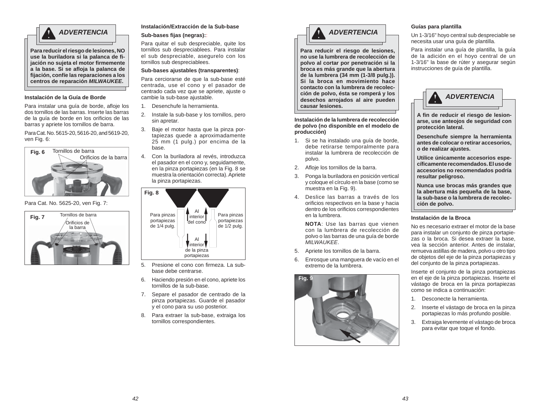

**Para reducir el riesgo de lesiones, NO use la buriladora si la palanca de fi jación no sujeta el motor fi rmemente a la base. Si se afl oja la palanca de fi jación, confíe las reparaciones a los centros de reparación** *MILWAUKEE***.**

#### **Instalación de la Guía de Borde**

Para instalar una guía de borde, afloje los dos tornillos de las barras. Inserte las barras de la guía de borde en los orificios de las barras y apriete los tornillos de barra.

Para Cat. No. 5615-20, 5616-20, and 5619-20, ven Fig. 6:



Para Cat. No. 5625-20, ven Fig. 7:



# **Instalación/Extracción de la Sub-base**

#### **Sub-bases fi jas (negras):**:

Para quitar el sub despreciable, quite los tornillos sub despreciablees. Para instalar el sub despreciable, asegurelo con los tornillos sub despreciablees.

#### **Sub-bases ajustables (transparentes)**:

Para cerciorarse de que la sub-base esté centrada, use el cono y el pasador de centrado cada vez que se apriete, ajuste o cambie la sub-base ajustable.

- 1. Desenchufe la herramienta.
- 2. Instale la sub-base y los tornillos, pero sin apretar.
- 3. Baje el motor hasta que la pinza portapiezas quede a aproximadamente 25 mm (1 pulg.) por encima de la base.
- 4. Con la buriladora al revés, introduzca el pasador en el cono y, seguidamente, en la pinza portapiezas (en la Fig. 8 se muestra la orientación correcta). Apriete la pinza portapiezas.



- 5. Presione el cono con firmeza. La subbase debe centrarse.
- 6. Haciendo presión en el cono, apriete los tornillos de la sub-base.
- 7. Separe el pasador de centrado de la pinza portapiezas. Guarde el pasador y el cono para su uso posterior.
- 8. Para extraer la sub-base, extraiga los tornillos correspondientes.



**Para reducir el riesgo de lesiones, no use la lumbrera de recolección de polvo al cortar por penetración si la broca es más grande que la abertura de la lumbrera (34 mm (1-3/8 pulg.)). Si la broca en movimiento hace contacto con la lumbrera de recolección de polvo, ésta se romperá y los desechos arrojados al aire pueden causar lesiones.**

**Instalación de la lumbrera de recolección de polvo (no disponible en el modelo de producción)**

- 1. Si se ha instalado una guía de borde, debe retirarse temporalmente para instalar la lumbrera de recolección de polvo.
- 2. Afloje los tornillos de la barra.
- 3. Ponga la buriladora en posición vertical y coloque el círculo en la base (como se muestra en la Fig. 9).
- 4. Deslice las barras a través de los orificios respectivos en la base y hacia dentro de los orificios correspondientes en la lumbrera.

**NOTA**: Use las barras que vienen con la lumbrera de recolección de polvo o las barras de una guía de borde *MILWAUKEE*.

- 5. Apriete los tornillos de la barra.
- 6. Enrosque una manguera de vacío en el extremo de la lumbrera.



#### **Guías para plantilla**

Un 1-3/16" hoyo central sub despreciable se necesita usar una guía de plantilla.

Para instalar una guía de plantilla, la guía de la adición en el hoyo central de un 1-3/16" la base de rúter y asegurar según instrucciones de guía de plantilla.



**A fi n de reducir el riesgo de lesionarse, use anteojos de seguridad con protección lateral.**

**Desenchufe siempre la herramienta antes de colocar o retirar accesorios, o de realizar ajustes.** 

**Utilice únicamente accesorios específi camente recomendados. El uso de accesorios no recomendados podría resultar peligroso.**

**Nunca use brocas más grandes que la abertura más pequeña de la base, la sub-base o la lumbrera de recolección de polvo.**

#### **Instalación de la Broca**

No es necesario extraer el motor de la base para instalar un conjunto de pinza portapiezas o la broca. Si desea extraer la base, vea la sección anterior. Antes de instalar, remueva astillas de madera, polvo u otro tipo de objetos del eje de la pinza portapiezas y del conjunto de la pinza portapiezas.

Inserte el conjunto de la pinza portapiezas en el eje de la pinza portapiezas. Inserte el vástago de broca en la pinza portapiezas como se indica a continuación:

- 1. Desconecte la herramienta.
- 2. Inserte el vástago de broca en la pinza portapiezas lo más profundo posible.
- 3. Extraiga levemente el vástago de broca para evitar que toque el fondo.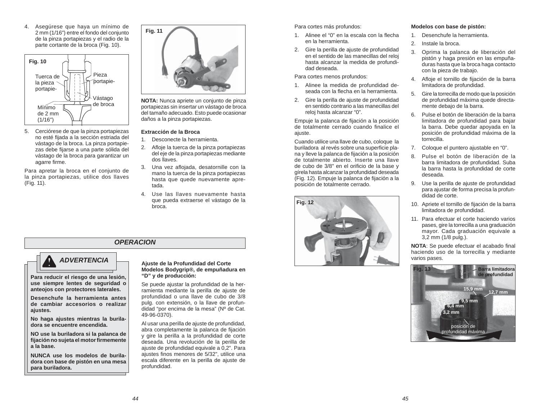4. Asegúrese que haya un mínimo de 2 mm (1/16") entre el fondo del conjunto de la pinza portapiezas y el radio de la parte cortante de la broca (Fig. 10).



5. Cerciórese de que la pinza portapiezas no esté fijada a la sección estriada del vástago de la broca. La pinza portapiezas debe fijarse a una parte sólida del vástago de la broca para garantizar un agarre firme.

Para apretar la broca en el conjunto de la pinza portapiezas, utilice dos llaves (Fig. 11).



**NOTA:** Nunca apriete un conjunto de pinza portapiezas sin insertar un vástago de broca del tamaño adecuado. Esto puede ocasionar daños a la pinza portapiezas.

#### **Extracción de la Broca**

- 1. Desconecte la herramienta.
- 2. Afloie la tuerca de la pinza portapiezas del eje de la pinza portapiezas mediante dos llaves.
- 3. Una vez aflojada, desatornille con la mano la tuerca de la pinza portapiezas hasta que quede nuevamente apretada.
- 4. Use las llaves nuevamente hasta que pueda extraerse el vástago de la broca.

# *OPERACION*



**Para reducir el riesgo de una lesión, use siempre lentes de seguridad o anteojos con protectores laterales.** 

**Desenchufe la herramienta antes de cambiar accesorios o realizar ajustes.**

**No haga ajustes mientras la buriladora se encuentre encendida.**

**NO use la buriladora si la palanca de fi jación no sujeta el motor fi rmemente a la base.**

**NUNCA use los modelos de buriladora con base de pistón en una mesa para buriladora.** 

#### **Ajuste de la Profundidad del Corte Modelos Bodygrip®, de empuñadura en "D" y de producción:**

Se puede ajustar la profundidad de la herramienta mediante la perilla de ajuste de profundidad o una llave de cubo de 3/8 pulg. con extensión, o la llave de profundidad "por encima de la mesa" (Nº de Cat. 49-96-0370).

Al usar una perilla de ajuste de profundidad, abra completamente la palanca de fijación y gire la perilla a la profundidad de corte deseada. Una revolución de la perilla de ajuste de profundidad equivale a 0,2". Para ajustes finos menores de 5/32", utilice una escala diferente en la perilla de ajuste de profundidad.

Para cortes más profundos:

- 1. Alinee el "0" en la escala con la flecha en la herramienta.
- 2. Gire la perilla de ajuste de profundidad en el sentido de las manecillas del reloj hasta alcanzar la medida de profundidad deseada.

Para cortes menos profundos:

- 1. Alinee la medida de profundidad deseada con la flecha en la herramienta.
- 2. Gire la perilla de ajuste de profundidad en sentido contrario a las manecillas del reloj hasta alcanzar "0".

Empuje la palanca de fijación a la posición de totalmente cerrado cuando finalice el ajuste.

Cuando utilice una llave de cubo, coloque la buriladora al revés sobre una superficie plana y lleve la palanca de fijación a la posición de totalmente abierto. Inserte una llave de cubo de 3/8" en el orificio de la base y gírela hasta alcanzar la profundidad deseada (Fig. 12). Empuje la palanca de fijación a la posición de totalmente cerrado.



#### **Modelos con base de pistón:**

- 1. Desenchufe la herramienta.
- 2. Instale la broca.
- 3. Oprima la palanca de liberación del pistón y haga presión en las empuñaduras hasta que la broca haga contacto con la pieza de trabajo.
- 4. Afloie el tornillo de fijación de la barra limitadora de profundidad.
- 5. Gire la torrecilla de modo que la posición de profundidad máxima quede directamente debajo de la barra.
- 6. Pulse el botón de liberación de la barra limitadora de profundidad para bajar la barra. Debe quedar apoyada en la posición de profundidad máxima de la torrecilla.
- 7. Coloque el puntero ajustable en "0".
- 8. Pulse el botón de liberación de la barra limitadora de profundidad. Suba la barra hasta la profundidad de corte deseada.
- 9. Use la perilla de ajuste de profundidad para ajustar de forma precisa la profundidad de corte.
- 10. Apriete el tornillo de fijación de la barra limitadora de profundidad.
- 11. Para efectuar el corte haciendo varios pases, gire la torrecilla a una graduación mayor. Cada graduación equivale a 3,2 mm (1/8 pulg.).

**NOTA:** Se puede efectuar el acabado final haciendo uso de la torrecilla y mediante varios pases.

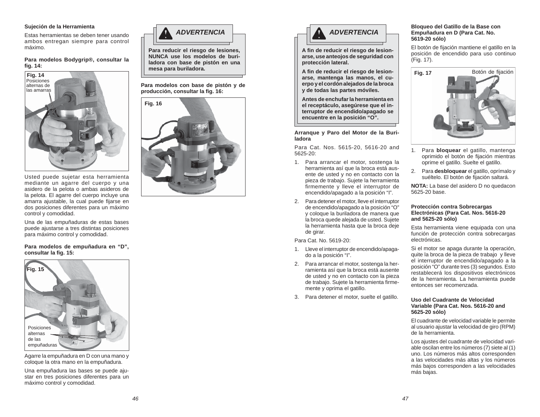#### **Sujeción de la Herramienta**

Estas herramientas se deben tener usando ambos entregan siempre para control máximo.

**Para modelos Bodygrip®, consultar la fi g. 14:**



Usted puede sujetar esta herramienta mediante un agarre del cuerpo y una asidero de la pelota o ambas asideros de la pelota. El agarre del cuerpo incluye una amarra ajustable, la cual puede fijarse en dos posiciones diferentes para un máximo control y comodidad.

Una de las empuñaduras de estas bases puede ajustarse a tres distintas posiciones para máximo control y comodidad.

#### **Para modelos de empuñadura en "D", consultar la fi g. 15:**



Agarre la empuñadura en D con una mano y coloque la otra mano en la empuñadura.

Una empuñadura las bases se puede ajustar en tres posiciones diferentes para un máximo control y comodidad.



**Para reducir el riesgo de lesiones, NUNCA use los modelos de buriladora con base de pistón en una mesa para buriladora.**

**Para modelos con base de pistón y de producción, consultar la fi g. 16:** 



# *ADVERTENCIA*

**A fi n de reducir el riesgo de lesionarse, use anteojos de seguridad con protección lateral.**

**A fi n de reducir el riesgo de lesionarse, mantenga las manos, el cuerpo y el cordón alejados de la broca y de todas las partes móviles.**

**Antes de enchufar la herramienta en el receptáculo, asegúrese que el interruptor de encendido/apagado se encuentre en la posición "O".**

#### **Arranque y Paro del Motor de la Buriladora**

Para Cat. Nos. 5615-20, 5616-20 and 5625-20:

- 1. Para arrancar el motor, sostenga la herramienta así que la broca está ausente de usted y no en contacto con la pieza de trabajo. Sujete la herramienta firmemente y lleve el interruptor de encendido/apagado a la posición "I".
- 2. Para detener el motor, lleve el interruptor de encendido/apagado a la posición "O" y coloque la buriladora de manera que la broca quede alejada de usted. Sujete la herramienta hasta que la broca deje de girar.

Para Cat. No. 5619-20:

- 1. Lleve el interruptor de encendido/apagado a la posición "I".
- 2. Para arrancar el motor, sostenga la herramienta así que la broca está ausente de usted y no en contacto con la pieza de trabajo. Sujete la herramienta firmemente y oprima el gatillo.
- 3. Para detener el motor, suelte el gatillo.

#### **Bloqueo del Gatillo de la Base con Empuñadura en D (Para Cat. No. 5619-20 sólo)**

El botón de fijación mantiene el gatillo en la posición de encendido para uso continuo (Fig. 17).



- 1. Para **bloquear** el gatillo, mantenga oprimido el botón de fijación mientras oprime el gatillo. Suelte el gatillo.
- 2. Para **desbloquear** el gatillo, oprímalo y suéltelo. El botón de fijación saltará.

**NOTA:** La base del asidero D no quedacon 5625-20 base.

#### **Protección contra Sobrecargas Electrónicas (Para Cat. Nos. 5616-20 and 5625-20 sólo)**

Esta herramienta viene equipada con una función de protección contra sobrecargas electrónicas.

Si el motor se apaga durante la operación, quite la broca de la pieza de trabajo y lleve el interruptor de encendido/apagado a la posición "O" durante tres (3) segundos. Esto restablecerá los dispositivos electrónicos de la herramienta. La herramienta puede entonces ser recomenzada.

#### **Uso del Cuadrante de Velocidad Variable (Para Cat. Nos. 5616-20 and 5625-20 sólo)**

El cuadrante de velocidad variable le permite al usuario ajustar la velocidad de giro (RPM) de la herramienta.

Los ajustes del cuadrante de velocidad variable oscilan entre los números (7) siete al (1) uno. Los números más altos corresponden a las velocidades más altas y los números más bajos corresponden a las velocidades más bajas.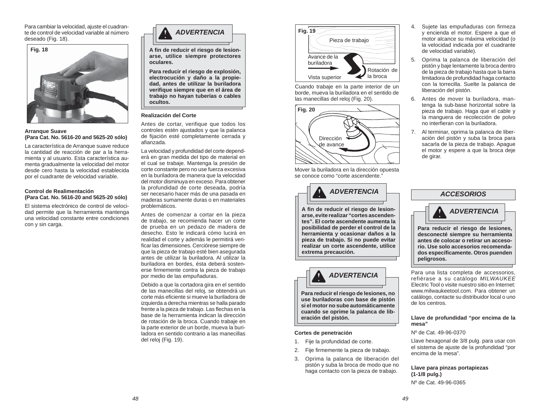Para cambiar la velocidad, ajuste el cuadrante de control de velocidad variable al número deseado (Fig. 18).



#### **Arranque Suave (Para Cat. No. 5616-20 and 5625-20 sólo)**

La característica de Arranque suave reduce la cantidad de reacción de par a la herramienta y al usuario. Esta característica aumenta gradualmente la velocidad del motor desde cero hasta la velocidad establecida por el cuadrante de velocidad variable.

#### **Control de Realimentación(Para Cat. No. 5616-20 and 5625-20 sólo)**

El sistema electrónico de control de velocidad permite que la herramienta mantenga una velocidad constante entre condiciones con y sin carga.



**A fi n de reducir el riesgo de lesionarse, utilice siempre protectores oculares.**

**Para reducir el riesgo de explosión, electrocución y daño a la propiedad, antes de utilizar la buriladora verifi que siempre que en el área de trabajo no hayan tuberías o cables ocultos.**

#### **Realización del Corte**

Antes de cortar, verifique que todos los controles estén ajustados y que la palanca de fijación esté completamente cerrada y afianzada.

La velocidad y profundidad del corte dependerá en gran medida del tipo de material en el cual se trabaje. Mantenga la presión de corte constante pero no use fuerza excesiva en la buriladora de manera que la velocidad del motor disminuya en exceso. Para obtener la profundidad de corte deseada, podría ser necesario hacer más de una pasada en maderas sumamente duras o en materiales problemáticos.

Antes de comenzar a cortar en la pieza de trabajo, se recomienda hacer un corte de prueba en un pedazo de madera de desecho. Esto le indicará cómo lucirá en realidad el corte y además le permitirá verificar las dimensiones. Cerciórese siempre de que la pieza de trabajo esté bien asegurada antes de utilizar la buriladora. Al utilizar la buriladora en bordes, ésta deberá sostenerse firmemente contra la pieza de trabajo por medio de las empuñaduras.

Debido a que la cortadora gira en el sentido de las manecillas del reloj, se obtendrá un corte más eficiente si mueve la buriladora de izquierda a derecha mientras se halla parado frente a la pieza de trabajo. Las flechas en la base de la herramienta indican la dirección de rotación de la broca. Cuando trabaje en la parte exterior de un borde, mueva la buriladora en sentido contrario a las manecillas del reloj (Fig. 19).



Cuando trabaje en la parte interior de un borde, mueva la buriladora en el sentido de las manecillas del reloj (Fig. 20).



Mover la buriladora en la dirección opuesta se conoce como "corte ascendente."

# *ADVERTENCIA*

**A fi n de reducir el riesgo de lesionarse, evite realizar "cortes ascendentes". El corte ascendente aumenta la posibilidad de perder el control de la herramienta y ocasionar daños a la pieza de trabajo. Si no puede evitar realizar un corte ascendente, utilice extrema precaución.**



**Para reducir el riesgo de lesiones, no use buriladoras con base de pistón si el motor no sube automáticamente cuando se oprime la palanca de liberación del pistón.**

#### **Cortes de penetración**

- 1. Fije la profundidad de corte.
- 2. Fije firmemente la pieza de trabajo.
- 3. Oprima la palanca de liberación del pistón y suba la broca de modo que no haga contacto con la pieza de trabajo.
- 4. Sujete las empuñaduras con firmeza y encienda el motor. Espere a que el motor alcance su máxima velocidad (o la velocidad indicada por el cuadrante de velocidad variable).
- 5. Oprima la palanca de liberación del pistón y baje lentamente la broca dentro de la pieza de trabajo hasta que la barra limitadora de profundidad haga contacto con la torrecilla. Suelte la palanca de liberación del pistón.
- 6. Antes de mover la buriladora, mantenga la sub-base horizontal sobre la pieza de trabajo. Haga que el cable y la manguera de recolección de polvo no interfieran con la buriladora.
- 7. Al terminar, oprima la palanca de liberación del pistón y suba la broca para sacarla de la pieza de trabajo. Apague el motor y espere a que la broca deje de girar.



**Para reducir el riesgo de lesiones, desconecté siempre su herramienta antes de colocar o retirar un accesorio. Use solo accesorios recomendados específi camente. Otros puenden peligrosos.**

Para una lista completa de accessorios, refiérase a su catálogo *MILWAUKEE* Electric Tool o visite nuestro sitio en Internet: www.milwaukeetool.com. Para obtener un catálogo, contacte su distribuidor local o uno de los centros.

#### **Llave de profundidad "por encima de la mesa"**

#### Nº de Cat. 49-96-0370

Llave hexagonal de 3/8 pulg. para usar con el sistema de ajuste de la profundidad "por encima de la mesa".

#### **Llave para pinzas portapiezas (1-1/8 pulg.)**

Nº de Cat. 49-96-0365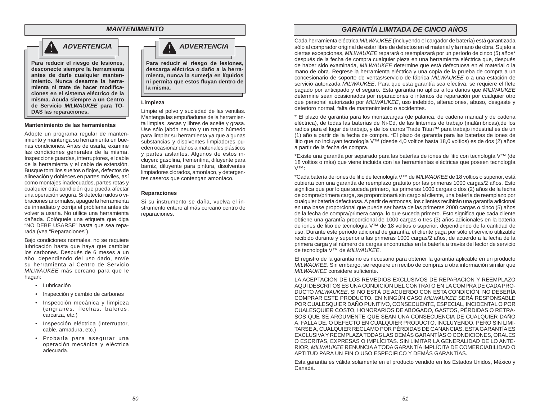# *MANTENIMIENTO*



**Para reducir el riesgo de lesiones, desconecte siempre la herramienta antes de darle cualquier mantenimiento. Nunca desarme la herra**mienta ni trate de hacer modifica**ciones en el sistema eléctrico de la misma. Acuda siempre a un Centro de Servicio** *MILWAUKEE* **para TO-DAS las reparaciones.**

*ADVERTENCIA*

#### **Mantenimiento de las herramientas**

Adopte un programa regular de mantenimiento y mantenga su herramienta en buenas condiciones. Antes de usarla, examine las condiciones generales de la misma. Inspeccione guardas, interruptores, el cable de la herramienta y el cable de extensión. Busque tornillos sueltos o flojos, defectos de alineación y dobleces en partes móviles, así como montajes inadecuados, partes rotas y cualquier otra condición que pueda afectar una operación segura. Si detecta ruidos o vibraciones anormales, apague la herramienta de inmediato y corrija el problema antes de volver a usarla. No utilice una herramienta dañada. Colóquele una etiqueta que diga "NO DEBE USARSE" hasta que sea reparada (vea "Reparaciones").

Bajo condiciones normales, no se requiere lubricación hasta que haya que cambiar los carbones. Después de 6 meses a un año, dependiendo del uso dado, envíe su herramienta al Centro de Servicio *MILWAUKEE* más cercano para que le hagan:

- Lubricación
- Inspección y cambio de carbones
- Inspección mecánica y limpieza (engranes, flechas, baleros, carcarza, etc.)
- Inspección eléctrica (interruptor, cable, armadura, etc.)
- Probarla para asegurar una operación mecánica y eléctrica adecuada.



**Para reducir el riesgo de lesiones, descarga eléctrica o daño a la herramienta, nunca la sumerja en líquidos ni permita que estos fl uyan dentro de la misma.**

#### **Limpieza**

Limpie el polvo y suciedad de las ventilas. Mantenga las empuñaduras de la herramienta limpias, secas y libres de aceite y grasa. Use sólo jabón neutro y un trapo húmedo para limpiar su herramienta ya que algunas substancias y disolventes limpiadores pueden ocasionar daños a materiales plásticos y partes aislantes. Algunos de estos incluyen: gasolina, trementina, diluyente para barniz, diluyente para pintura, disolventes limpiadores clorados, amoníaco, y detergentes caseros que contengan amoníaco.

#### **Reparaciones**

Si su instrumento se daña, vuelva el instrumento entero al más cercano centro de reparaciones.

# *GARANTÍA LIMITADA DE CINCO AÑOS*

Cada herramienta eléctrica *MILWAUKEE* (incluyendo el cargador de batería) está garantizada sólo al comprador original de estar libre de defectos en el material y la mano de obra. Sujeto a ciertas excepciones, *MILWAUKEE* reparará o reemplazará por un período de cinco (5) años\* después de la fecha de compra cualquier pieza en una herramienta eléctrica que, después de haber sido examinada, *MILWAUKEE* determine que está defectuosa en el material o la mano de obra. Regrese la herramienta eléctrica y una copia de la prueba de compra a un concesionario de soporte de ventas/servicio de fábrica *MILWAUKEE* o a una estación de servicio autorizada *MILWAUKEE*. Para que esta garantía sea efectiva, se requiere el flete pagado por anticipado y el seguro. Esta garantía no aplica a los daños que *MILWAUKEE*  determine sean ocasionados por reparaciones o intentos de reparación por cualquier otro que personal autorizado por *MILWAUKEE*, uso indebido, alteraciones, abuso, desgaste y deterioro normal, falta de mantenimiento o accidentes.

\* El plazo de garantía para los montacargas (de palanca, de cadena manual y de cadena eléctrica), de todas las baterías de Ni-Cd, de las linternas de trabajo (inalámbricas),de los radios para el lugar de trabajo, y de los carros Trade Titan™ para trabajo industrial es de un (1) año a partir de la fecha de compra. \*El plazo de garantía para las baterías de iones de litio que no incluyan tecnología V™ (desde 4,0 voltios hasta 18,0 voltios) es de dos (2) años a partir de la fecha de compra.

\*Existe una garantía por separado para las baterías de iones de litio con tecnología V™ (de 18 voltios o más) que viene incluida con las herramientas eléctricas que poseen tecnología V™:

\*Cada batería de iones de litio de tecnología V™ de *MILWAUKEE* de 18 voltios o superior, está cubierta con una garantía de reemplazo gratuito por las primeras 1000 cargas/2 años. Esto significa que por lo que suceda primero, las primeras 1000 cargas o dos (2) años de la fecha de compra/primera carga, se proporcionará sin cargo al cliente, una batería de reemplazo por cualquier batería defectuosa. A partir de entonces, los clientes recibirán una garantía adicional en una base proporcional que puede ser hasta de las primeras 2000 cargas o cinco (5) años de la fecha de compra/primera carga, lo que suceda primero. Esto significa que cada cliente obtiene una garantía proporcional de 1000 cargas o tres (3) años adicionales en la batería de iones de litio de tecnología V™ de 18 voltios o superior, dependiendo de la cantidad de uso. Durante este período adicional de garantía, el cliente paga por sólo el servicio utilizable recibido durante y superior a las primeras 1000 cargas/2 años, de acuerdo a la fecha de la primera carga y al número de cargas encontradas en la batería a través del lector de servicio de tecnología V™ de *MILWAUKEE*.

El registro de la garantía no es necesario para obtener la garantía aplicable en un producto *MILWAUKEE*. Sin embargo, se requiere un recibo de compras u otra información similar que *MILWAUKEE* considere suficiente.

LA ACEPTACIÓN DE LOS REMEDIOS EXCLUSIVOS DE REPARACIÓN Y REEMPLAZO AQUÍ DESCRITOS ES UNA CONDICIÓN DEL CONTRATO EN LA COMPRA DE CADA PRO-DUCTO *MILWAUKEE*. SI NO ESTÁ DE ACUERDO CON ESTA CONDICIÓN, NO DEBERÍA COMPRAR ESTE PRODUCTO. EN NINGÚN CASO *MILWAUKEE* SERÁ RESPONSABLE POR CUALESQUIER DAÑO PUNITIVO, CONSECUENTE, ESPECIAL, INCIDENTAL O POR CUALESQUIER COSTO, HONORARIOS DE ABOGADO, GASTOS, PÉRDIDAS O RETRA-SOS QUE SE ARGUMENTE QUE SEAN UNA CONSECUENCIA DE CUALQUIER DAÑO A, FALLA DE, O DEFECTO EN CUALQUIER PRODUCTO, INCLUYENDO, PERO SIN LIMI-TARSE A, CUALQUIER RECLAMO POR PÉRDIDAS DE GANANCIAS. ESTA GARANTÍA ES EXCLUSIVA Y REEMPLAZA TODAS LAS DEMÁS GARANTÍAS O CONDICIONES, ORALES O ESCRITAS, EXPRESAS O IMPLÍCITAS. SIN LIMITAR LA GENERALIDAD DE LO ANTE-RIOR, *MILWAUKEE* RENUNCIA A TODA GARANTÍA IMPLÍCITA DE COMERCIABILIDAD O APTITUD PARA UN FIN O USO ESPECIFICO Y DEMÁS GARANTÍAS.

Esta garantía es válida solamente en el producto vendido en los Estados Unidos, México y Canadá.